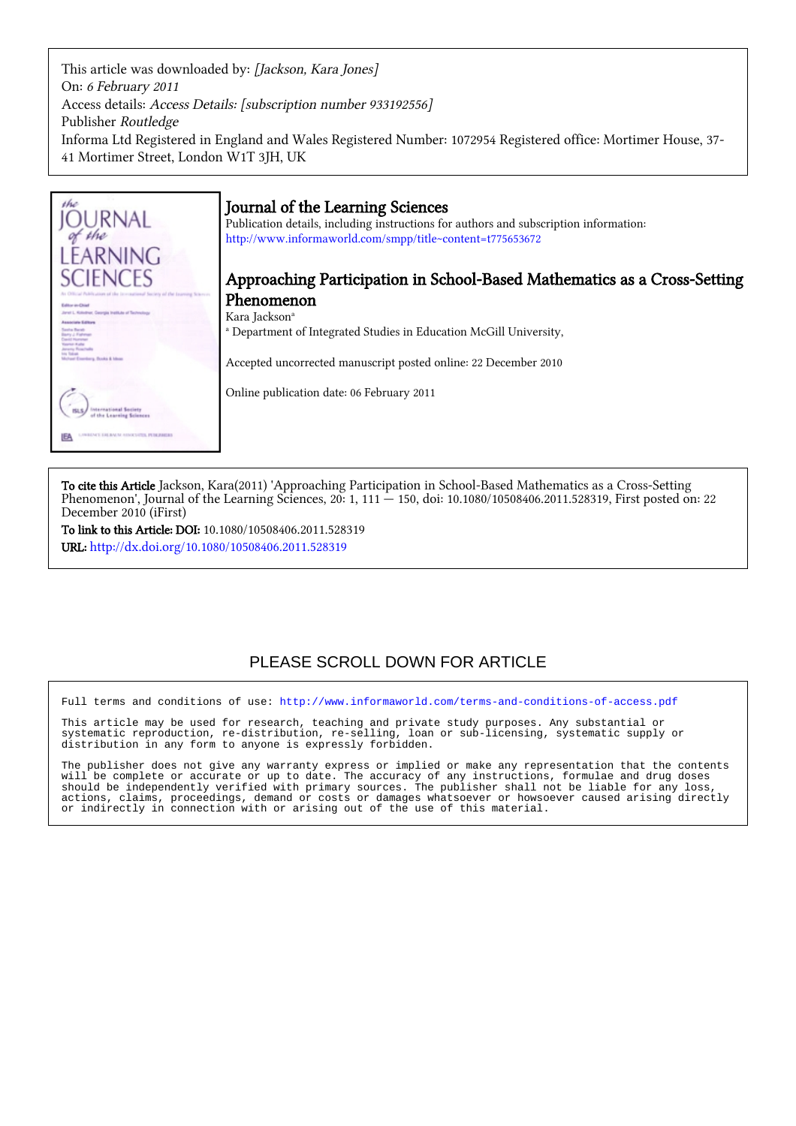This article was downloaded by: [Jackson, Kara Jones] On: 6 February 2011 Access details: Access Details: [subscription number 933192556] Publisher Routledge Informa Ltd Registered in England and Wales Registered Number: 1072954 Registered office: Mortimer House, 37- 41 Mortimer Street, London W1T 3JH, UK



To cite this Article Jackson, Kara(2011) 'Approaching Participation in School-Based Mathematics as a Cross-Setting Phenomenon', Journal of the Learning Sciences, 20: 1, 111  $-$  150, doi: 10.1080/10508406.2011.528319, First posted on: 22 December 2010 (iFirst)

To link to this Article: DOI: 10.1080/10508406.2011.528319 URL: <http://dx.doi.org/10.1080/10508406.2011.528319>

# PLEASE SCROLL DOWN FOR ARTICLE

Full terms and conditions of use:<http://www.informaworld.com/terms-and-conditions-of-access.pdf>

This article may be used for research, teaching and private study purposes. Any substantial or systematic reproduction, re-distribution, re-selling, loan or sub-licensing, systematic supply or distribution in any form to anyone is expressly forbidden.

The publisher does not give any warranty express or implied or make any representation that the contents will be complete or accurate or up to date. The accuracy of any instructions, formulae and drug doses should be independently verified with primary sources. The publisher shall not be liable for any loss, actions, claims, proceedings, demand or costs or damages whatsoever or howsoever caused arising directly or indirectly in connection with or arising out of the use of this material.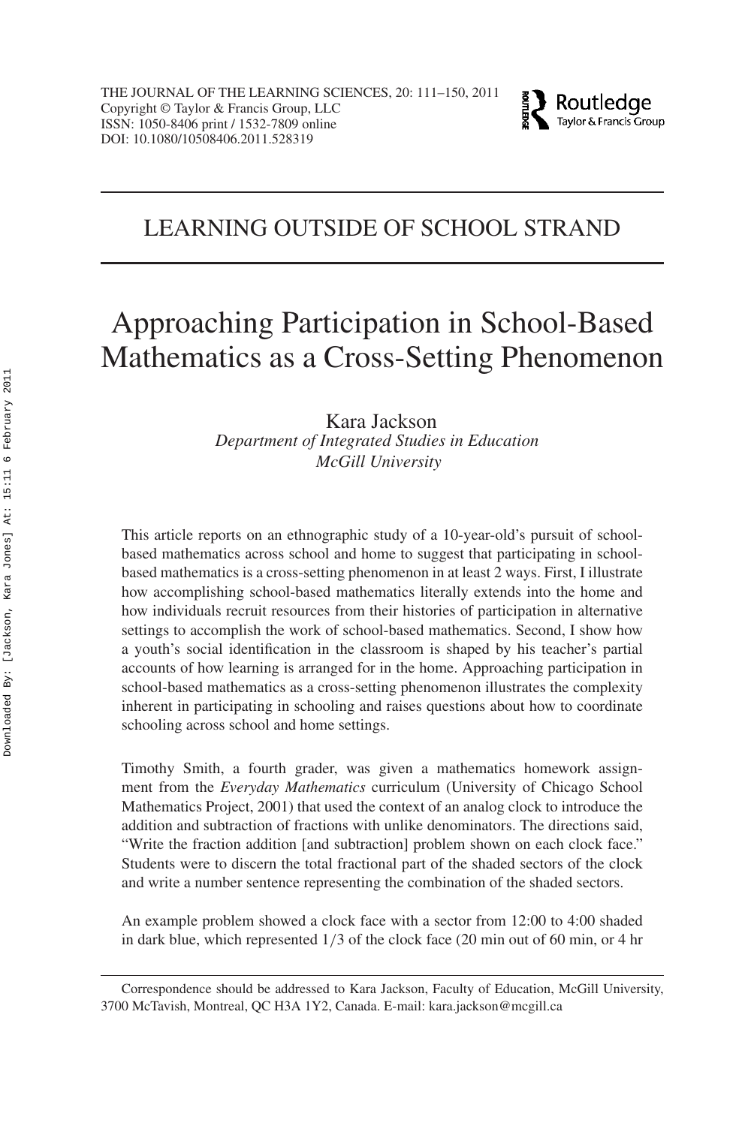

# LEARNING OUTSIDE OF SCHOOL STRAND

# Approaching Participation in School-Based Mathematics as a Cross-Setting Phenomenon

Kara Jackson *Department of Integrated Studies in Education McGill University*

This article reports on an ethnographic study of a 10-year-old's pursuit of schoolbased mathematics across school and home to suggest that participating in schoolbased mathematics is a cross-setting phenomenon in at least 2 ways. First, I illustrate how accomplishing school-based mathematics literally extends into the home and how individuals recruit resources from their histories of participation in alternative settings to accomplish the work of school-based mathematics. Second, I show how a youth's social identification in the classroom is shaped by his teacher's partial accounts of how learning is arranged for in the home. Approaching participation in school-based mathematics as a cross-setting phenomenon illustrates the complexity inherent in participating in schooling and raises questions about how to coordinate schooling across school and home settings.

Timothy Smith, a fourth grader, was given a mathematics homework assignment from the *Everyday Mathematics* curriculum (University of Chicago School Mathematics Project, 2001) that used the context of an analog clock to introduce the addition and subtraction of fractions with unlike denominators. The directions said, "Write the fraction addition [and subtraction] problem shown on each clock face." Students were to discern the total fractional part of the shaded sectors of the clock and write a number sentence representing the combination of the shaded sectors.

An example problem showed a clock face with a sector from 12:00 to 4:00 shaded in dark blue, which represented 1*/*3 of the clock face (20 min out of 60 min, or 4 hr

Correspondence should be addressed to Kara Jackson, Faculty of Education, McGill University, 3700 McTavish, Montreal, QC H3A 1Y2, Canada. E-mail: kara.jackson@mcgill.ca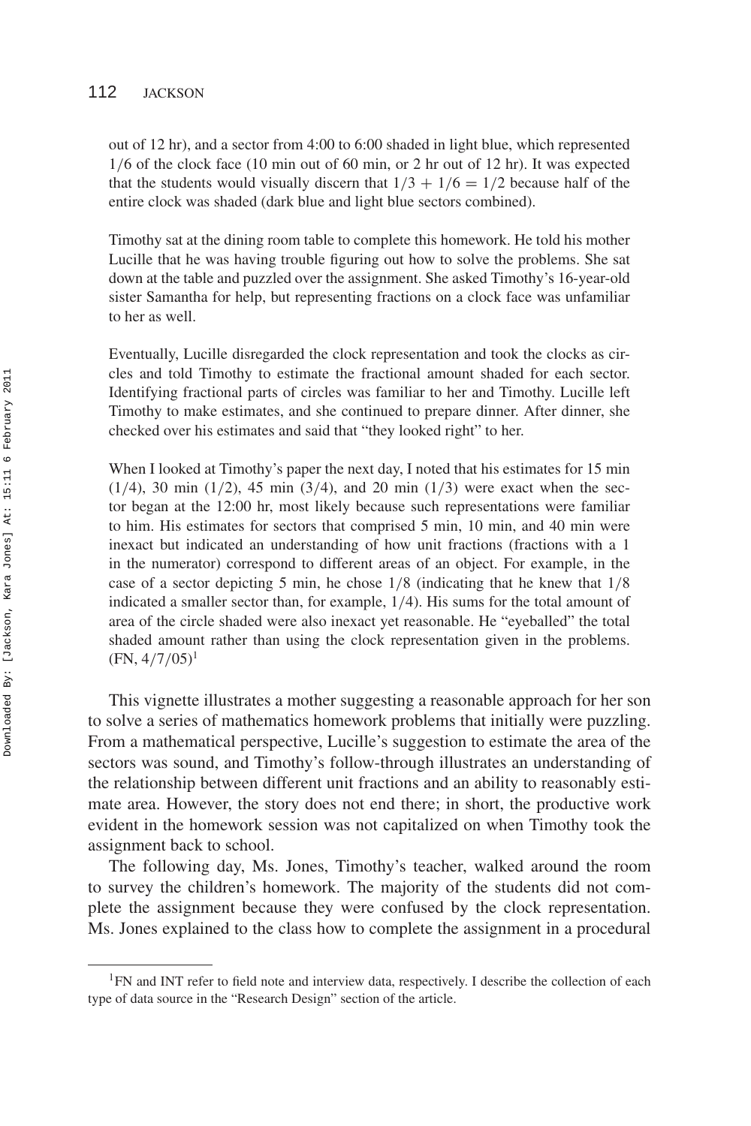#### 112 JACKSON

out of 12 hr), and a sector from 4:00 to 6:00 shaded in light blue, which represented 1*/*6 of the clock face (10 min out of 60 min, or 2 hr out of 12 hr). It was expected that the students would visually discern that  $1/3 + 1/6 = 1/2$  because half of the entire clock was shaded (dark blue and light blue sectors combined).

Timothy sat at the dining room table to complete this homework. He told his mother Lucille that he was having trouble figuring out how to solve the problems. She sat down at the table and puzzled over the assignment. She asked Timothy's 16-year-old sister Samantha for help, but representing fractions on a clock face was unfamiliar to her as well.

Eventually, Lucille disregarded the clock representation and took the clocks as circles and told Timothy to estimate the fractional amount shaded for each sector. Identifying fractional parts of circles was familiar to her and Timothy. Lucille left Timothy to make estimates, and she continued to prepare dinner. After dinner, she checked over his estimates and said that "they looked right" to her.

When I looked at Timothy's paper the next day, I noted that his estimates for 15 min (1*/*4), 30 min (1*/*2), 45 min (3*/*4), and 20 min (1*/*3) were exact when the sector began at the 12:00 hr, most likely because such representations were familiar to him. His estimates for sectors that comprised 5 min, 10 min, and 40 min were inexact but indicated an understanding of how unit fractions (fractions with a 1 in the numerator) correspond to different areas of an object. For example, in the case of a sector depicting 5 min, he chose 1*/*8 (indicating that he knew that 1*/*8 indicated a smaller sector than, for example, 1*/*4). His sums for the total amount of area of the circle shaded were also inexact yet reasonable. He "eyeballed" the total shaded amount rather than using the clock representation given in the problems. (FN, 4*/*7*/*05)1

This vignette illustrates a mother suggesting a reasonable approach for her son to solve a series of mathematics homework problems that initially were puzzling. From a mathematical perspective, Lucille's suggestion to estimate the area of the sectors was sound, and Timothy's follow-through illustrates an understanding of the relationship between different unit fractions and an ability to reasonably estimate area. However, the story does not end there; in short, the productive work evident in the homework session was not capitalized on when Timothy took the assignment back to school.

The following day, Ms. Jones, Timothy's teacher, walked around the room to survey the children's homework. The majority of the students did not complete the assignment because they were confused by the clock representation. Ms. Jones explained to the class how to complete the assignment in a procedural

<sup>&</sup>lt;sup>1</sup>FN and INT refer to field note and interview data, respectively. I describe the collection of each type of data source in the "Research Design" section of the article.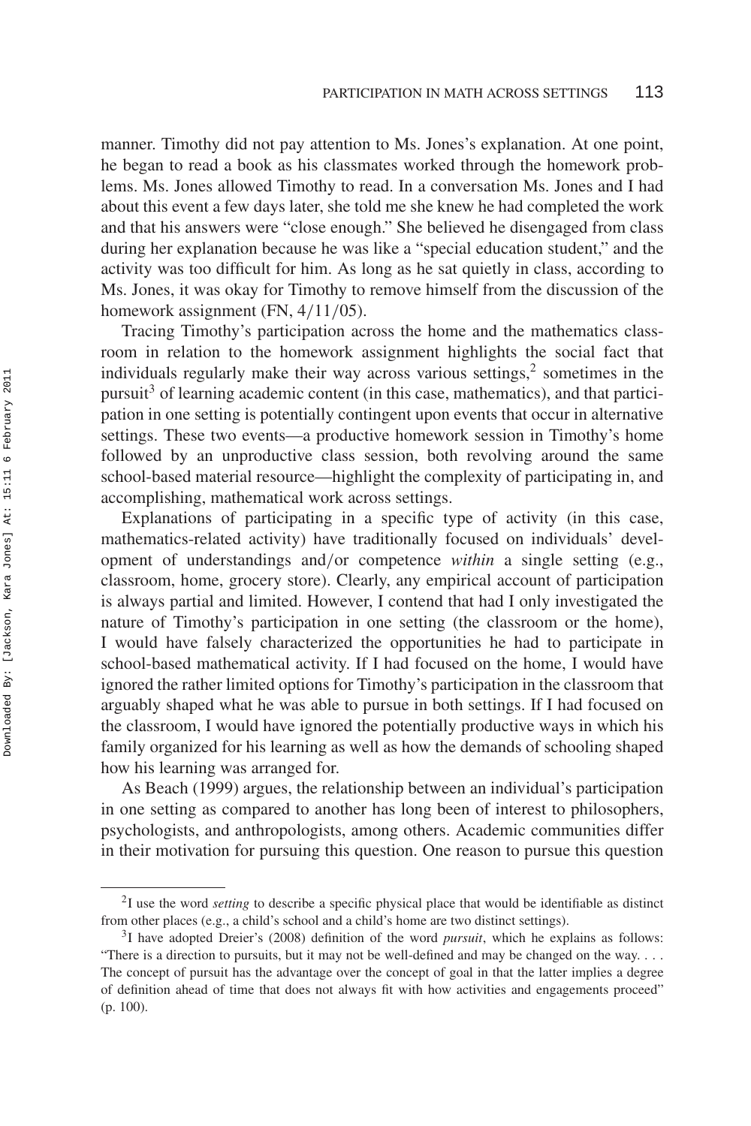manner. Timothy did not pay attention to Ms. Jones's explanation. At one point, he began to read a book as his classmates worked through the homework problems. Ms. Jones allowed Timothy to read. In a conversation Ms. Jones and I had about this event a few days later, she told me she knew he had completed the work and that his answers were "close enough." She believed he disengaged from class during her explanation because he was like a "special education student," and the activity was too difficult for him. As long as he sat quietly in class, according to Ms. Jones, it was okay for Timothy to remove himself from the discussion of the homework assignment (FN, 4*/*11*/*05).

Tracing Timothy's participation across the home and the mathematics classroom in relation to the homework assignment highlights the social fact that individuals regularly make their way across various settings, $\frac{2}{3}$  sometimes in the pursuit<sup>3</sup> of learning academic content (in this case, mathematics), and that participation in one setting is potentially contingent upon events that occur in alternative settings. These two events—a productive homework session in Timothy's home followed by an unproductive class session, both revolving around the same school-based material resource—highlight the complexity of participating in, and accomplishing, mathematical work across settings.

Explanations of participating in a specific type of activity (in this case, mathematics-related activity) have traditionally focused on individuals' development of understandings and*/*or competence *within* a single setting (e.g., classroom, home, grocery store). Clearly, any empirical account of participation is always partial and limited. However, I contend that had I only investigated the nature of Timothy's participation in one setting (the classroom or the home), I would have falsely characterized the opportunities he had to participate in school-based mathematical activity. If I had focused on the home, I would have ignored the rather limited options for Timothy's participation in the classroom that arguably shaped what he was able to pursue in both settings. If I had focused on the classroom, I would have ignored the potentially productive ways in which his family organized for his learning as well as how the demands of schooling shaped how his learning was arranged for.

As Beach (1999) argues, the relationship between an individual's participation in one setting as compared to another has long been of interest to philosophers, psychologists, and anthropologists, among others. Academic communities differ in their motivation for pursuing this question. One reason to pursue this question

<sup>2</sup>I use the word *setting* to describe a specific physical place that would be identifiable as distinct from other places (e.g., a child's school and a child's home are two distinct settings).

<sup>3</sup>I have adopted Dreier's (2008) definition of the word *pursuit*, which he explains as follows: "There is a direction to pursuits, but it may not be well-defined and may be changed on the way. *...* The concept of pursuit has the advantage over the concept of goal in that the latter implies a degree of definition ahead of time that does not always fit with how activities and engagements proceed" (p. 100).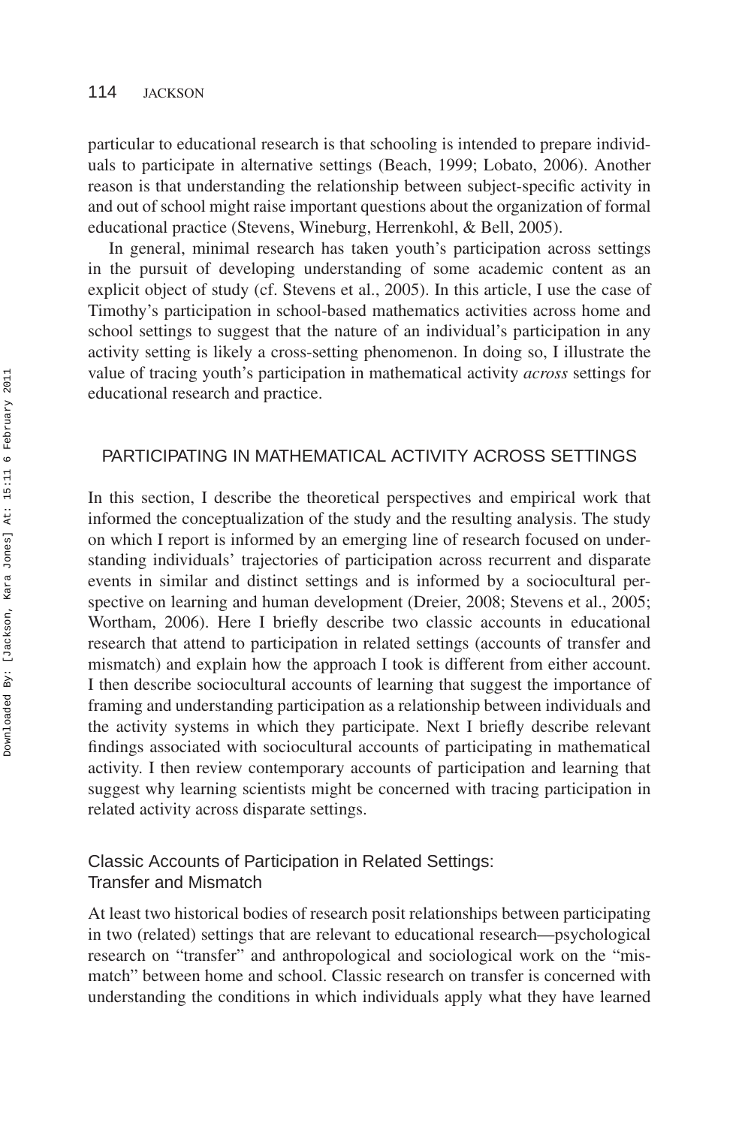particular to educational research is that schooling is intended to prepare individuals to participate in alternative settings (Beach, 1999; Lobato, 2006). Another reason is that understanding the relationship between subject-specific activity in and out of school might raise important questions about the organization of formal educational practice (Stevens, Wineburg, Herrenkohl, & Bell, 2005).

In general, minimal research has taken youth's participation across settings in the pursuit of developing understanding of some academic content as an explicit object of study (cf. Stevens et al., 2005). In this article, I use the case of Timothy's participation in school-based mathematics activities across home and school settings to suggest that the nature of an individual's participation in any activity setting is likely a cross-setting phenomenon. In doing so, I illustrate the value of tracing youth's participation in mathematical activity *across* settings for educational research and practice.

### PARTICIPATING IN MATHEMATICAL ACTIVITY ACROSS SETTINGS

In this section, I describe the theoretical perspectives and empirical work that informed the conceptualization of the study and the resulting analysis. The study on which I report is informed by an emerging line of research focused on understanding individuals' trajectories of participation across recurrent and disparate events in similar and distinct settings and is informed by a sociocultural perspective on learning and human development (Dreier, 2008; Stevens et al., 2005; Wortham, 2006). Here I briefly describe two classic accounts in educational research that attend to participation in related settings (accounts of transfer and mismatch) and explain how the approach I took is different from either account. I then describe sociocultural accounts of learning that suggest the importance of framing and understanding participation as a relationship between individuals and the activity systems in which they participate. Next I briefly describe relevant findings associated with sociocultural accounts of participating in mathematical activity. I then review contemporary accounts of participation and learning that suggest why learning scientists might be concerned with tracing participation in related activity across disparate settings.

# Classic Accounts of Participation in Related Settings: Transfer and Mismatch

At least two historical bodies of research posit relationships between participating in two (related) settings that are relevant to educational research—psychological research on "transfer" and anthropological and sociological work on the "mismatch" between home and school. Classic research on transfer is concerned with understanding the conditions in which individuals apply what they have learned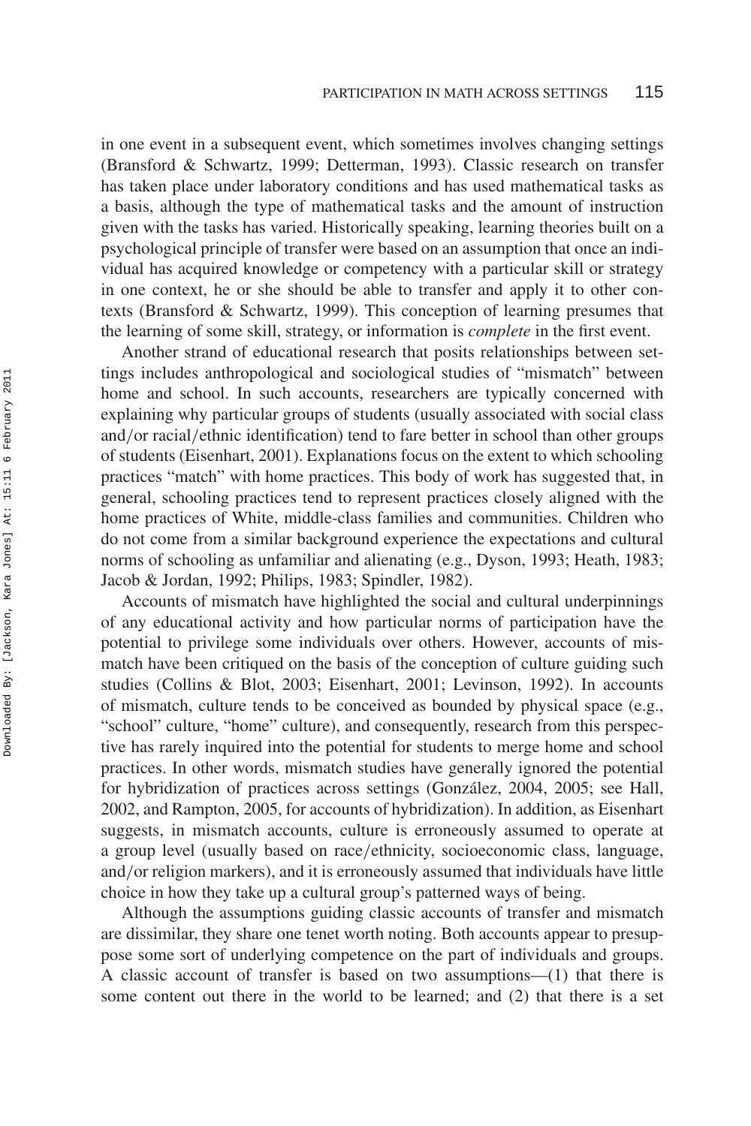in one event in a subsequent event, which sometimes involves changing settings (Bransford & Schwartz, 1999; Detterman, 1993). Classic research on transfer has taken place under laboratory conditions and has used mathematical tasks as a basis, although the type of mathematical tasks and the amount of instruction given with the tasks has varied. Historically speaking, learning theories built on a psychological principle of transfer were based on an assumption that once an individual has acquired knowledge or competency with a particular skill or strategy in one context, he or she should be able to transfer and apply it to other contexts (Bransford & Schwartz, 1999). This conception of learning presumes that the learning of some skill, strategy, or information is *complete* in the first event.

Another strand of educational research that posits relationships between settings includes anthropological and sociological studies of "mismatch" between home and school. In such accounts, researchers are typically concerned with explaining why particular groups of students (usually associated with social class and*/*or racial*/*ethnic identification) tend to fare better in school than other groups of students (Eisenhart, 2001). Explanations focus on the extent to which schooling practices "match" with home practices. This body of work has suggested that, in general, schooling practices tend to represent practices closely aligned with the home practices of White, middle-class families and communities. Children who do not come from a similar background experience the expectations and cultural norms of schooling as unfamiliar and alienating (e.g., Dyson, 1993; Heath, 1983; Jacob & Jordan, 1992; Philips, 1983; Spindler, 1982).

Accounts of mismatch have highlighted the social and cultural underpinnings of any educational activity and how particular norms of participation have the potential to privilege some individuals over others. However, accounts of mismatch have been critiqued on the basis of the conception of culture guiding such studies (Collins & Blot, 2003; Eisenhart, 2001; Levinson, 1992). In accounts of mismatch, culture tends to be conceived as bounded by physical space (e.g., "school" culture, "home" culture), and consequently, research from this perspective has rarely inquired into the potential for students to merge home and school practices. In other words, mismatch studies have generally ignored the potential for hybridization of practices across settings (González, 2004, 2005; see Hall, 2002, and Rampton, 2005, for accounts of hybridization). In addition, as Eisenhart suggests, in mismatch accounts, culture is erroneously assumed to operate at a group level (usually based on race*/*ethnicity, socioeconomic class, language, and*/*or religion markers), and it is erroneously assumed that individuals have little choice in how they take up a cultural group's patterned ways of being.

Although the assumptions guiding classic accounts of transfer and mismatch are dissimilar, they share one tenet worth noting. Both accounts appear to presuppose some sort of underlying competence on the part of individuals and groups. A classic account of transfer is based on two assumptions—(1) that there is some content out there in the world to be learned; and (2) that there is a set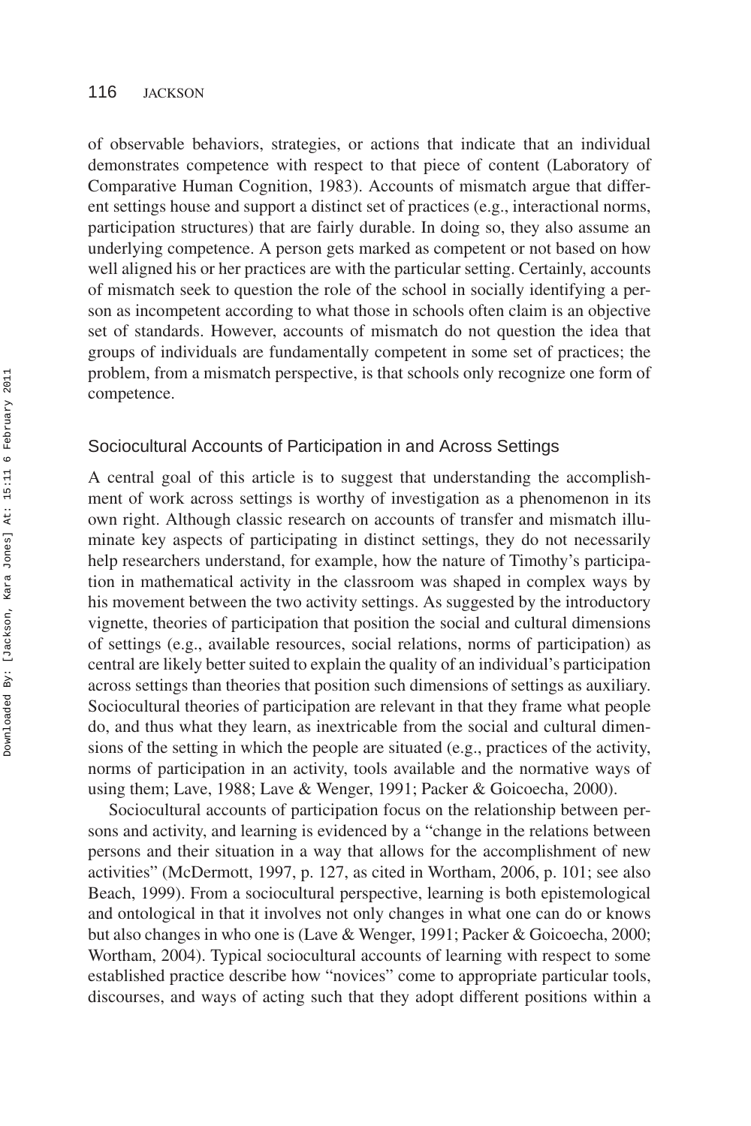of observable behaviors, strategies, or actions that indicate that an individual demonstrates competence with respect to that piece of content (Laboratory of Comparative Human Cognition, 1983). Accounts of mismatch argue that different settings house and support a distinct set of practices (e.g., interactional norms, participation structures) that are fairly durable. In doing so, they also assume an underlying competence. A person gets marked as competent or not based on how well aligned his or her practices are with the particular setting. Certainly, accounts of mismatch seek to question the role of the school in socially identifying a person as incompetent according to what those in schools often claim is an objective set of standards. However, accounts of mismatch do not question the idea that groups of individuals are fundamentally competent in some set of practices; the problem, from a mismatch perspective, is that schools only recognize one form of competence.

#### Sociocultural Accounts of Participation in and Across Settings

A central goal of this article is to suggest that understanding the accomplishment of work across settings is worthy of investigation as a phenomenon in its own right. Although classic research on accounts of transfer and mismatch illuminate key aspects of participating in distinct settings, they do not necessarily help researchers understand, for example, how the nature of Timothy's participation in mathematical activity in the classroom was shaped in complex ways by his movement between the two activity settings. As suggested by the introductory vignette, theories of participation that position the social and cultural dimensions of settings (e.g., available resources, social relations, norms of participation) as central are likely better suited to explain the quality of an individual's participation across settings than theories that position such dimensions of settings as auxiliary. Sociocultural theories of participation are relevant in that they frame what people do, and thus what they learn, as inextricable from the social and cultural dimensions of the setting in which the people are situated (e.g., practices of the activity, norms of participation in an activity, tools available and the normative ways of using them; Lave, 1988; Lave & Wenger, 1991; Packer & Goicoecha, 2000).

Sociocultural accounts of participation focus on the relationship between persons and activity, and learning is evidenced by a "change in the relations between persons and their situation in a way that allows for the accomplishment of new activities" (McDermott, 1997, p. 127, as cited in Wortham, 2006, p. 101; see also Beach, 1999). From a sociocultural perspective, learning is both epistemological and ontological in that it involves not only changes in what one can do or knows but also changes in who one is (Lave & Wenger, 1991; Packer & Goicoecha, 2000; Wortham, 2004). Typical sociocultural accounts of learning with respect to some established practice describe how "novices" come to appropriate particular tools, discourses, and ways of acting such that they adopt different positions within a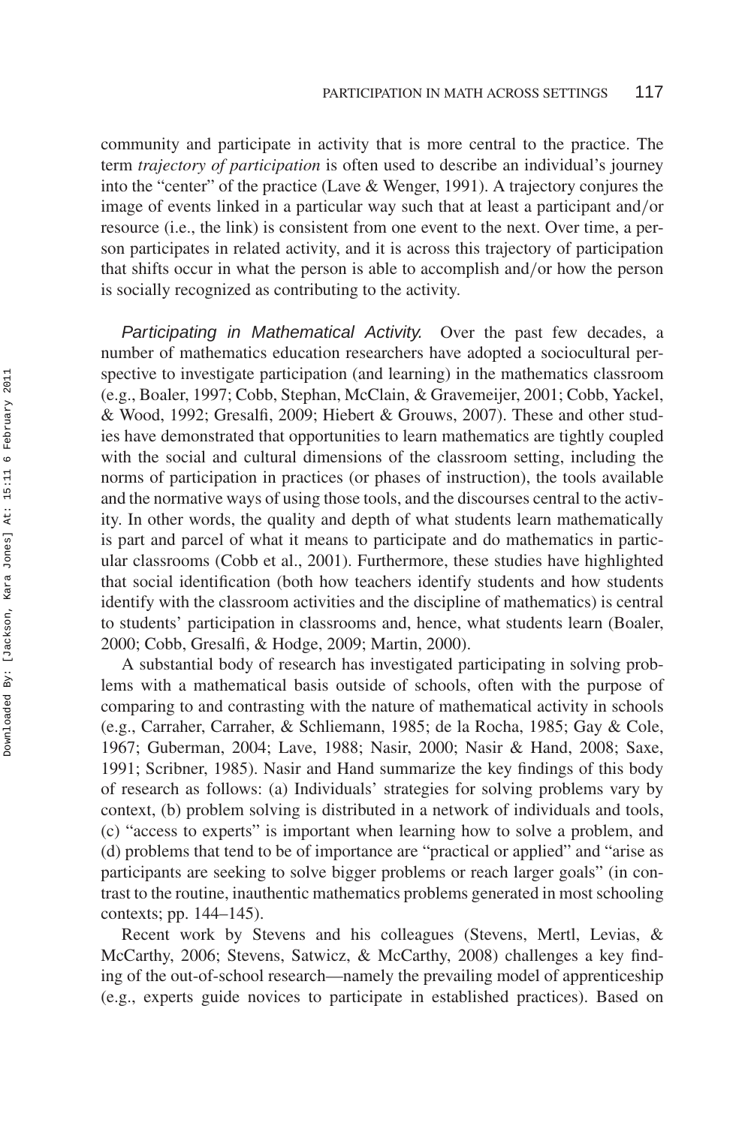community and participate in activity that is more central to the practice. The term *trajectory of participation* is often used to describe an individual's journey into the "center" of the practice (Lave & Wenger, 1991). A trajectory conjures the image of events linked in a particular way such that at least a participant and*/*or resource (i.e., the link) is consistent from one event to the next. Over time, a person participates in related activity, and it is across this trajectory of participation that shifts occur in what the person is able to accomplish and*/*or how the person is socially recognized as contributing to the activity.

*Participating in Mathematical Activity.* Over the past few decades, a number of mathematics education researchers have adopted a sociocultural perspective to investigate participation (and learning) in the mathematics classroom (e.g., Boaler, 1997; Cobb, Stephan, McClain, & Gravemeijer, 2001; Cobb, Yackel, & Wood, 1992; Gresalfi, 2009; Hiebert & Grouws, 2007). These and other studies have demonstrated that opportunities to learn mathematics are tightly coupled with the social and cultural dimensions of the classroom setting, including the norms of participation in practices (or phases of instruction), the tools available and the normative ways of using those tools, and the discourses central to the activity. In other words, the quality and depth of what students learn mathematically is part and parcel of what it means to participate and do mathematics in particular classrooms (Cobb et al., 2001). Furthermore, these studies have highlighted that social identification (both how teachers identify students and how students identify with the classroom activities and the discipline of mathematics) is central to students' participation in classrooms and, hence, what students learn (Boaler, 2000; Cobb, Gresalfi, & Hodge, 2009; Martin, 2000).

A substantial body of research has investigated participating in solving problems with a mathematical basis outside of schools, often with the purpose of comparing to and contrasting with the nature of mathematical activity in schools (e.g., Carraher, Carraher, & Schliemann, 1985; de la Rocha, 1985; Gay & Cole, 1967; Guberman, 2004; Lave, 1988; Nasir, 2000; Nasir & Hand, 2008; Saxe, 1991; Scribner, 1985). Nasir and Hand summarize the key findings of this body of research as follows: (a) Individuals' strategies for solving problems vary by context, (b) problem solving is distributed in a network of individuals and tools, (c) "access to experts" is important when learning how to solve a problem, and (d) problems that tend to be of importance are "practical or applied" and "arise as participants are seeking to solve bigger problems or reach larger goals" (in contrast to the routine, inauthentic mathematics problems generated in most schooling contexts; pp. 144–145).

Recent work by Stevens and his colleagues (Stevens, Mertl, Levias, & McCarthy, 2006; Stevens, Satwicz, & McCarthy, 2008) challenges a key finding of the out-of-school research—namely the prevailing model of apprenticeship (e.g., experts guide novices to participate in established practices). Based on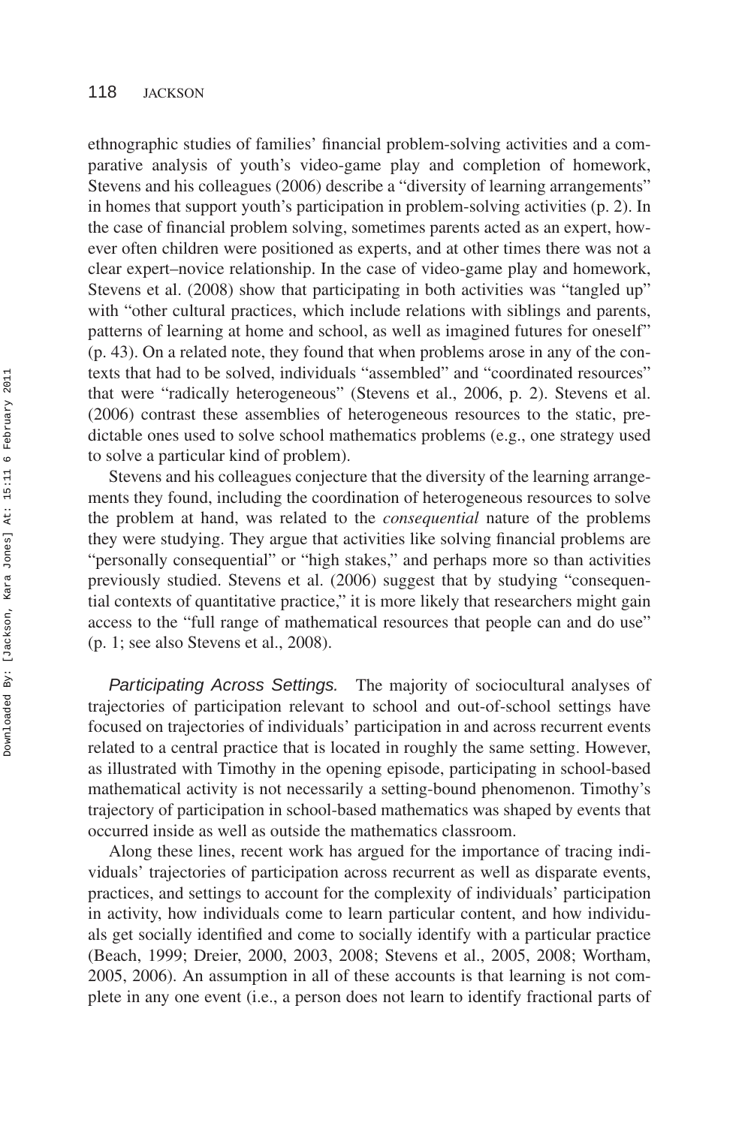ethnographic studies of families' financial problem-solving activities and a comparative analysis of youth's video-game play and completion of homework, Stevens and his colleagues (2006) describe a "diversity of learning arrangements" in homes that support youth's participation in problem-solving activities (p. 2). In the case of financial problem solving, sometimes parents acted as an expert, however often children were positioned as experts, and at other times there was not a clear expert–novice relationship. In the case of video-game play and homework, Stevens et al. (2008) show that participating in both activities was "tangled up" with "other cultural practices, which include relations with siblings and parents, patterns of learning at home and school, as well as imagined futures for oneself" (p. 43). On a related note, they found that when problems arose in any of the contexts that had to be solved, individuals "assembled" and "coordinated resources" that were "radically heterogeneous" (Stevens et al., 2006, p. 2). Stevens et al. (2006) contrast these assemblies of heterogeneous resources to the static, predictable ones used to solve school mathematics problems (e.g., one strategy used to solve a particular kind of problem).

Stevens and his colleagues conjecture that the diversity of the learning arrangements they found, including the coordination of heterogeneous resources to solve the problem at hand, was related to the *consequential* nature of the problems they were studying. They argue that activities like solving financial problems are "personally consequential" or "high stakes," and perhaps more so than activities previously studied. Stevens et al. (2006) suggest that by studying "consequential contexts of quantitative practice," it is more likely that researchers might gain access to the "full range of mathematical resources that people can and do use" (p. 1; see also Stevens et al., 2008).

*Participating Across Settings.* The majority of sociocultural analyses of trajectories of participation relevant to school and out-of-school settings have focused on trajectories of individuals' participation in and across recurrent events related to a central practice that is located in roughly the same setting. However, as illustrated with Timothy in the opening episode, participating in school-based mathematical activity is not necessarily a setting-bound phenomenon. Timothy's trajectory of participation in school-based mathematics was shaped by events that occurred inside as well as outside the mathematics classroom.

Along these lines, recent work has argued for the importance of tracing individuals' trajectories of participation across recurrent as well as disparate events, practices, and settings to account for the complexity of individuals' participation in activity, how individuals come to learn particular content, and how individuals get socially identified and come to socially identify with a particular practice (Beach, 1999; Dreier, 2000, 2003, 2008; Stevens et al., 2005, 2008; Wortham, 2005, 2006). An assumption in all of these accounts is that learning is not complete in any one event (i.e., a person does not learn to identify fractional parts of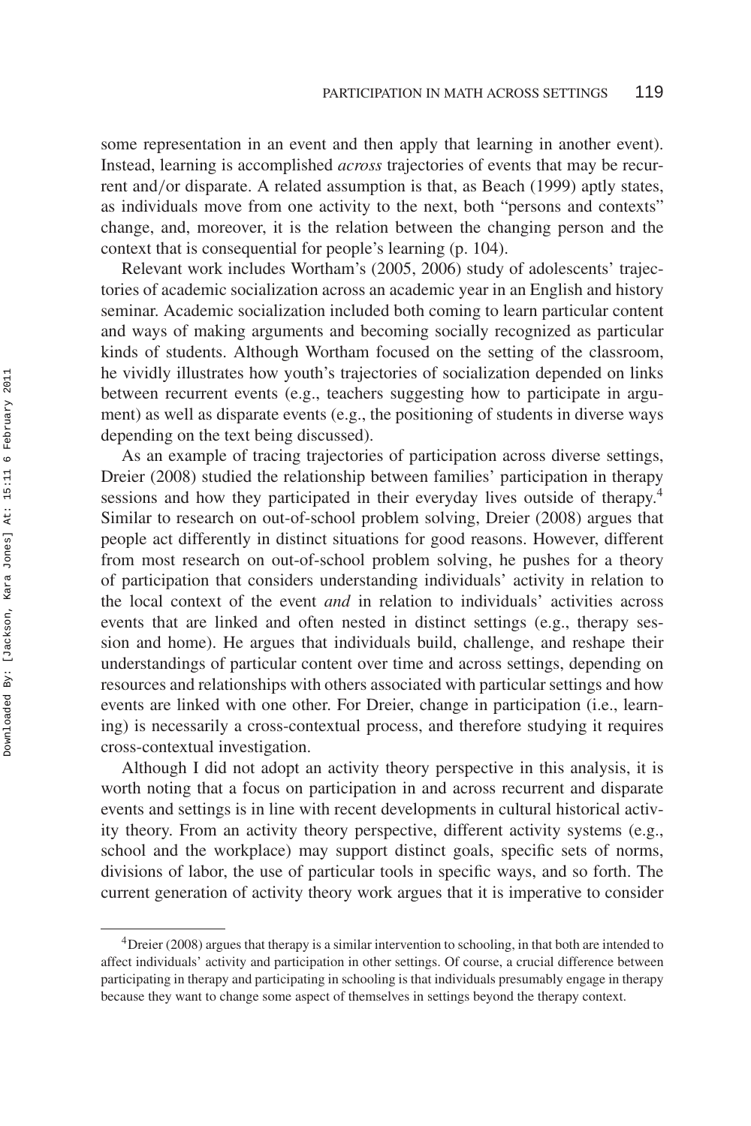some representation in an event and then apply that learning in another event). Instead, learning is accomplished *across* trajectories of events that may be recurrent and*/*or disparate. A related assumption is that, as Beach (1999) aptly states, as individuals move from one activity to the next, both "persons and contexts" change, and, moreover, it is the relation between the changing person and the context that is consequential for people's learning (p. 104).

Relevant work includes Wortham's (2005, 2006) study of adolescents' trajectories of academic socialization across an academic year in an English and history seminar. Academic socialization included both coming to learn particular content and ways of making arguments and becoming socially recognized as particular kinds of students. Although Wortham focused on the setting of the classroom, he vividly illustrates how youth's trajectories of socialization depended on links between recurrent events (e.g., teachers suggesting how to participate in argument) as well as disparate events (e.g., the positioning of students in diverse ways depending on the text being discussed).

As an example of tracing trajectories of participation across diverse settings, Dreier (2008) studied the relationship between families' participation in therapy sessions and how they participated in their everyday lives outside of therapy.<sup>4</sup> Similar to research on out-of-school problem solving, Dreier (2008) argues that people act differently in distinct situations for good reasons. However, different from most research on out-of-school problem solving, he pushes for a theory of participation that considers understanding individuals' activity in relation to the local context of the event *and* in relation to individuals' activities across events that are linked and often nested in distinct settings (e.g., therapy session and home). He argues that individuals build, challenge, and reshape their understandings of particular content over time and across settings, depending on resources and relationships with others associated with particular settings and how events are linked with one other. For Dreier, change in participation (i.e., learning) is necessarily a cross-contextual process, and therefore studying it requires cross-contextual investigation.

Although I did not adopt an activity theory perspective in this analysis, it is worth noting that a focus on participation in and across recurrent and disparate events and settings is in line with recent developments in cultural historical activity theory. From an activity theory perspective, different activity systems (e.g., school and the workplace) may support distinct goals, specific sets of norms, divisions of labor, the use of particular tools in specific ways, and so forth. The current generation of activity theory work argues that it is imperative to consider

<sup>4</sup>Dreier (2008) argues that therapy is a similar intervention to schooling, in that both are intended to affect individuals' activity and participation in other settings. Of course, a crucial difference between participating in therapy and participating in schooling is that individuals presumably engage in therapy because they want to change some aspect of themselves in settings beyond the therapy context.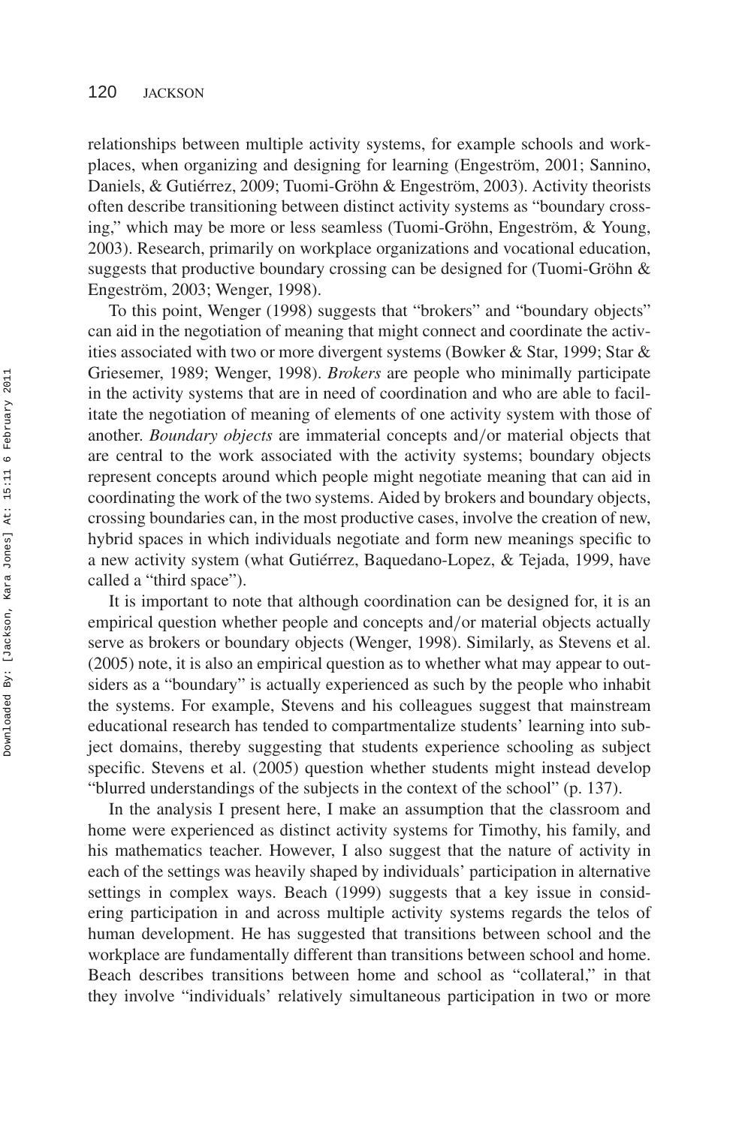relationships between multiple activity systems, for example schools and workplaces, when organizing and designing for learning (Engeström, 2001; Sannino, Daniels, & Gutiérrez, 2009; Tuomi-Gröhn & Engeström, 2003). Activity theorists often describe transitioning between distinct activity systems as "boundary crossing," which may be more or less seamless (Tuomi-Gröhn, Engeström, & Young, 2003). Research, primarily on workplace organizations and vocational education, suggests that productive boundary crossing can be designed for (Tuomi-Gröhn & Engeström, 2003; Wenger, 1998).

To this point, Wenger (1998) suggests that "brokers" and "boundary objects" can aid in the negotiation of meaning that might connect and coordinate the activities associated with two or more divergent systems (Bowker & Star, 1999; Star & Griesemer, 1989; Wenger, 1998). *Brokers* are people who minimally participate in the activity systems that are in need of coordination and who are able to facilitate the negotiation of meaning of elements of one activity system with those of another. *Boundary objects* are immaterial concepts and*/*or material objects that are central to the work associated with the activity systems; boundary objects represent concepts around which people might negotiate meaning that can aid in coordinating the work of the two systems. Aided by brokers and boundary objects, crossing boundaries can, in the most productive cases, involve the creation of new, hybrid spaces in which individuals negotiate and form new meanings specific to a new activity system (what Gutiérrez, Baquedano-Lopez, & Tejada, 1999, have called a "third space").

It is important to note that although coordination can be designed for, it is an empirical question whether people and concepts and*/*or material objects actually serve as brokers or boundary objects (Wenger, 1998). Similarly, as Stevens et al. (2005) note, it is also an empirical question as to whether what may appear to outsiders as a "boundary" is actually experienced as such by the people who inhabit the systems. For example, Stevens and his colleagues suggest that mainstream educational research has tended to compartmentalize students' learning into subject domains, thereby suggesting that students experience schooling as subject specific. Stevens et al. (2005) question whether students might instead develop "blurred understandings of the subjects in the context of the school" (p. 137).

In the analysis I present here, I make an assumption that the classroom and home were experienced as distinct activity systems for Timothy, his family, and his mathematics teacher. However, I also suggest that the nature of activity in each of the settings was heavily shaped by individuals' participation in alternative settings in complex ways. Beach (1999) suggests that a key issue in considering participation in and across multiple activity systems regards the telos of human development. He has suggested that transitions between school and the workplace are fundamentally different than transitions between school and home. Beach describes transitions between home and school as "collateral," in that they involve "individuals' relatively simultaneous participation in two or more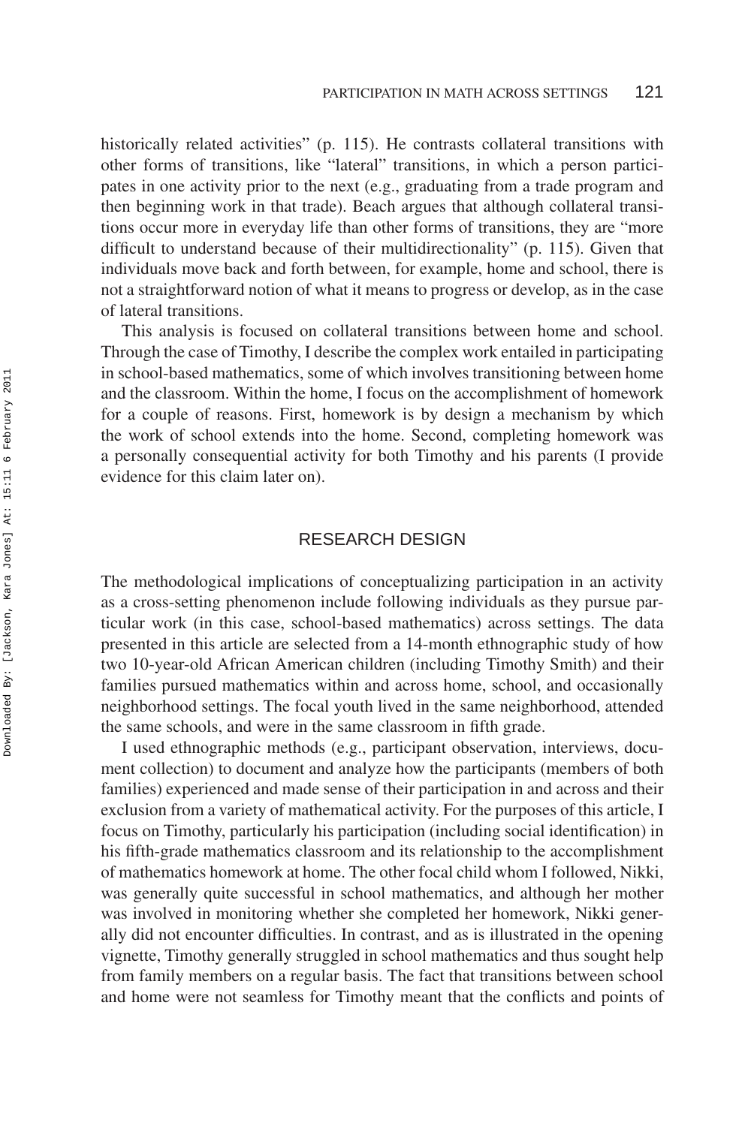historically related activities" (p. 115). He contrasts collateral transitions with other forms of transitions, like "lateral" transitions, in which a person participates in one activity prior to the next (e.g., graduating from a trade program and then beginning work in that trade). Beach argues that although collateral transitions occur more in everyday life than other forms of transitions, they are "more difficult to understand because of their multidirectionality" (p. 115). Given that individuals move back and forth between, for example, home and school, there is not a straightforward notion of what it means to progress or develop, as in the case of lateral transitions.

This analysis is focused on collateral transitions between home and school. Through the case of Timothy, I describe the complex work entailed in participating in school-based mathematics, some of which involves transitioning between home and the classroom. Within the home, I focus on the accomplishment of homework for a couple of reasons. First, homework is by design a mechanism by which the work of school extends into the home. Second, completing homework was a personally consequential activity for both Timothy and his parents (I provide evidence for this claim later on).

#### RESEARCH DESIGN

The methodological implications of conceptualizing participation in an activity as a cross-setting phenomenon include following individuals as they pursue particular work (in this case, school-based mathematics) across settings. The data presented in this article are selected from a 14-month ethnographic study of how two 10-year-old African American children (including Timothy Smith) and their families pursued mathematics within and across home, school, and occasionally neighborhood settings. The focal youth lived in the same neighborhood, attended the same schools, and were in the same classroom in fifth grade.

I used ethnographic methods (e.g., participant observation, interviews, document collection) to document and analyze how the participants (members of both families) experienced and made sense of their participation in and across and their exclusion from a variety of mathematical activity. For the purposes of this article, I focus on Timothy, particularly his participation (including social identification) in his fifth-grade mathematics classroom and its relationship to the accomplishment of mathematics homework at home. The other focal child whom I followed, Nikki, was generally quite successful in school mathematics, and although her mother was involved in monitoring whether she completed her homework, Nikki generally did not encounter difficulties. In contrast, and as is illustrated in the opening vignette, Timothy generally struggled in school mathematics and thus sought help from family members on a regular basis. The fact that transitions between school and home were not seamless for Timothy meant that the conflicts and points of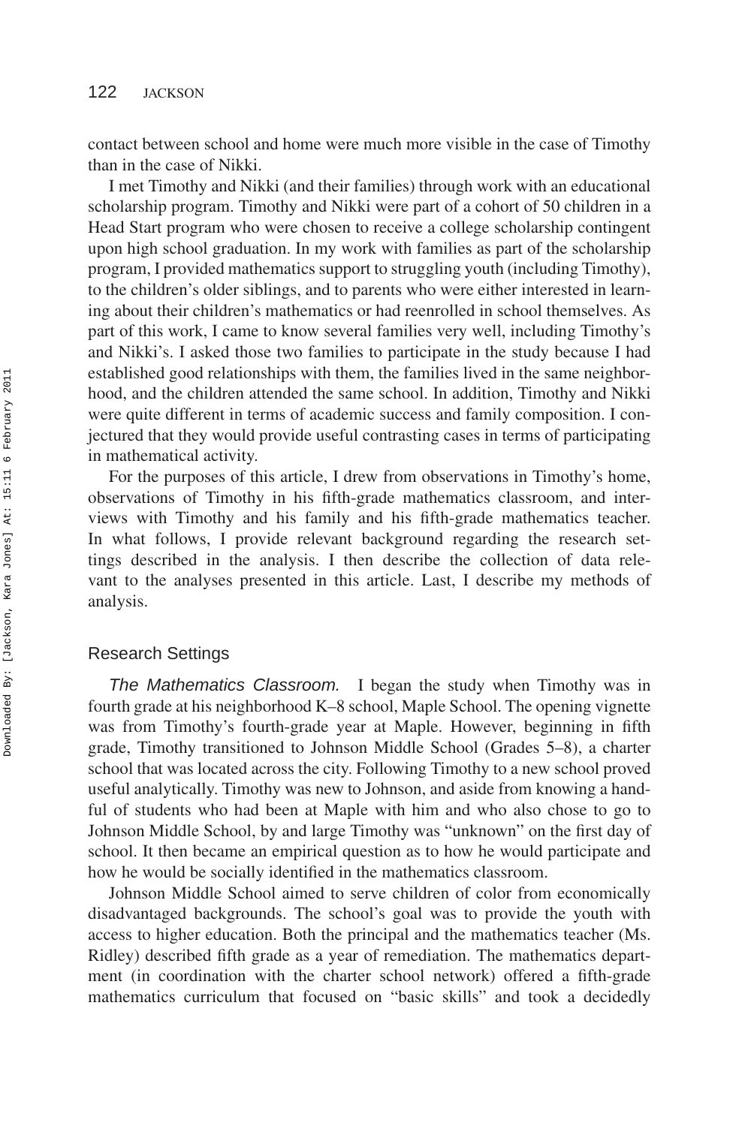contact between school and home were much more visible in the case of Timothy than in the case of Nikki.

I met Timothy and Nikki (and their families) through work with an educational scholarship program. Timothy and Nikki were part of a cohort of 50 children in a Head Start program who were chosen to receive a college scholarship contingent upon high school graduation. In my work with families as part of the scholarship program, I provided mathematics support to struggling youth (including Timothy), to the children's older siblings, and to parents who were either interested in learning about their children's mathematics or had reenrolled in school themselves. As part of this work, I came to know several families very well, including Timothy's and Nikki's. I asked those two families to participate in the study because I had established good relationships with them, the families lived in the same neighborhood, and the children attended the same school. In addition, Timothy and Nikki were quite different in terms of academic success and family composition. I conjectured that they would provide useful contrasting cases in terms of participating in mathematical activity.

For the purposes of this article, I drew from observations in Timothy's home, observations of Timothy in his fifth-grade mathematics classroom, and interviews with Timothy and his family and his fifth-grade mathematics teacher. In what follows, I provide relevant background regarding the research settings described in the analysis. I then describe the collection of data relevant to the analyses presented in this article. Last, I describe my methods of analysis.

#### Research Settings

*The Mathematics Classroom.* I began the study when Timothy was in fourth grade at his neighborhood K–8 school, Maple School. The opening vignette was from Timothy's fourth-grade year at Maple. However, beginning in fifth grade, Timothy transitioned to Johnson Middle School (Grades 5–8), a charter school that was located across the city. Following Timothy to a new school proved useful analytically. Timothy was new to Johnson, and aside from knowing a handful of students who had been at Maple with him and who also chose to go to Johnson Middle School, by and large Timothy was "unknown" on the first day of school. It then became an empirical question as to how he would participate and how he would be socially identified in the mathematics classroom.

Johnson Middle School aimed to serve children of color from economically disadvantaged backgrounds. The school's goal was to provide the youth with access to higher education. Both the principal and the mathematics teacher (Ms. Ridley) described fifth grade as a year of remediation. The mathematics department (in coordination with the charter school network) offered a fifth-grade mathematics curriculum that focused on "basic skills" and took a decidedly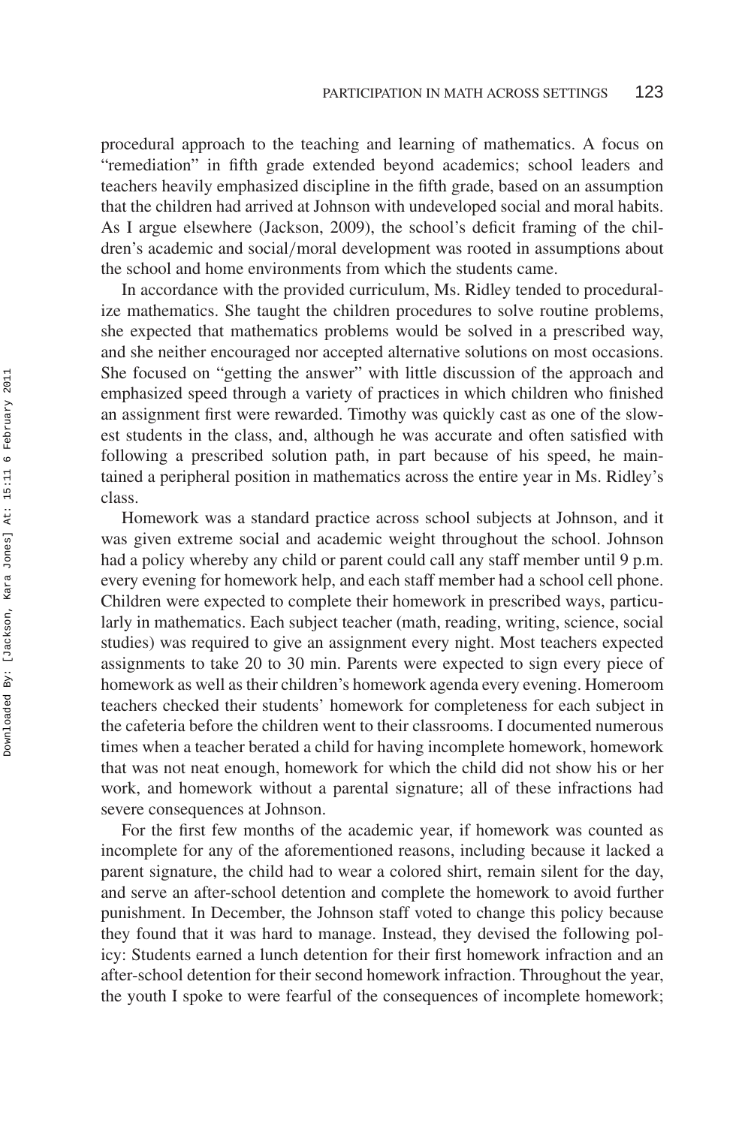procedural approach to the teaching and learning of mathematics. A focus on "remediation" in fifth grade extended beyond academics; school leaders and teachers heavily emphasized discipline in the fifth grade, based on an assumption that the children had arrived at Johnson with undeveloped social and moral habits. As I argue elsewhere (Jackson, 2009), the school's deficit framing of the children's academic and social*/*moral development was rooted in assumptions about the school and home environments from which the students came.

In accordance with the provided curriculum, Ms. Ridley tended to proceduralize mathematics. She taught the children procedures to solve routine problems, she expected that mathematics problems would be solved in a prescribed way, and she neither encouraged nor accepted alternative solutions on most occasions. She focused on "getting the answer" with little discussion of the approach and emphasized speed through a variety of practices in which children who finished an assignment first were rewarded. Timothy was quickly cast as one of the slowest students in the class, and, although he was accurate and often satisfied with following a prescribed solution path, in part because of his speed, he maintained a peripheral position in mathematics across the entire year in Ms. Ridley's class.

Homework was a standard practice across school subjects at Johnson, and it was given extreme social and academic weight throughout the school. Johnson had a policy whereby any child or parent could call any staff member until 9 p.m. every evening for homework help, and each staff member had a school cell phone. Children were expected to complete their homework in prescribed ways, particularly in mathematics. Each subject teacher (math, reading, writing, science, social studies) was required to give an assignment every night. Most teachers expected assignments to take 20 to 30 min. Parents were expected to sign every piece of homework as well as their children's homework agenda every evening. Homeroom teachers checked their students' homework for completeness for each subject in the cafeteria before the children went to their classrooms. I documented numerous times when a teacher berated a child for having incomplete homework, homework that was not neat enough, homework for which the child did not show his or her work, and homework without a parental signature; all of these infractions had severe consequences at Johnson.

For the first few months of the academic year, if homework was counted as incomplete for any of the aforementioned reasons, including because it lacked a parent signature, the child had to wear a colored shirt, remain silent for the day, and serve an after-school detention and complete the homework to avoid further punishment. In December, the Johnson staff voted to change this policy because they found that it was hard to manage. Instead, they devised the following policy: Students earned a lunch detention for their first homework infraction and an after-school detention for their second homework infraction. Throughout the year, the youth I spoke to were fearful of the consequences of incomplete homework;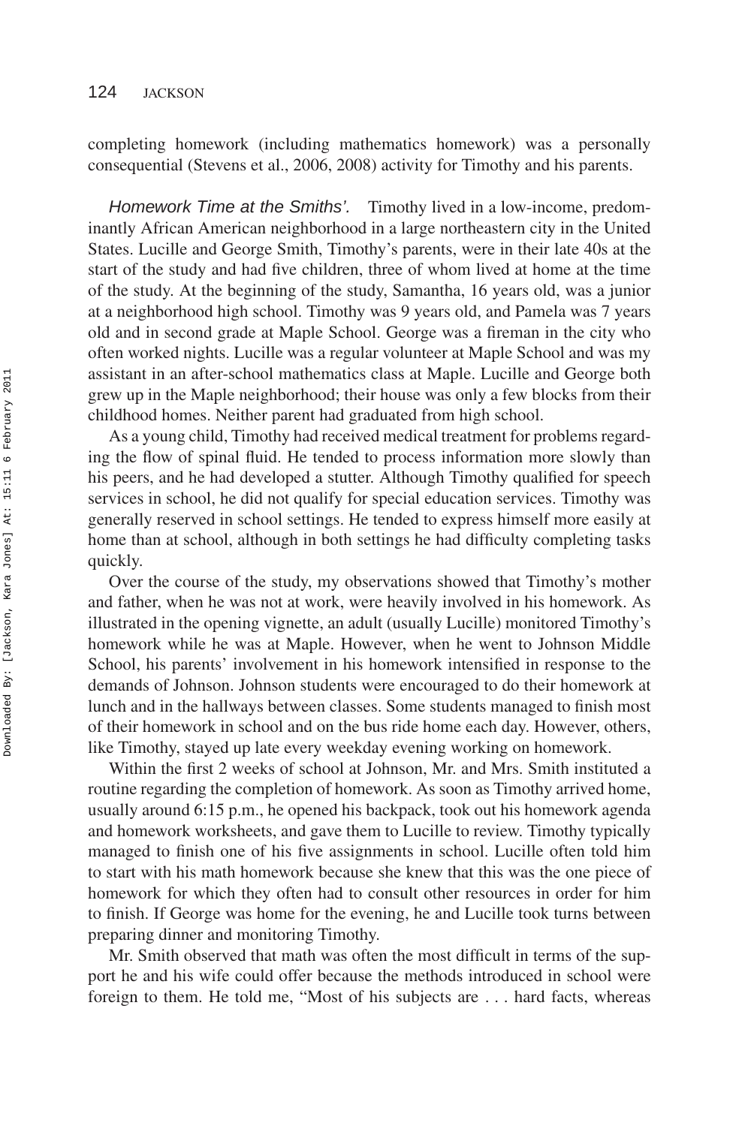completing homework (including mathematics homework) was a personally consequential (Stevens et al., 2006, 2008) activity for Timothy and his parents.

*Homework Time at the Smiths'.* Timothy lived in a low-income, predominantly African American neighborhood in a large northeastern city in the United States. Lucille and George Smith, Timothy's parents, were in their late 40s at the start of the study and had five children, three of whom lived at home at the time of the study. At the beginning of the study, Samantha, 16 years old, was a junior at a neighborhood high school. Timothy was 9 years old, and Pamela was 7 years old and in second grade at Maple School. George was a fireman in the city who often worked nights. Lucille was a regular volunteer at Maple School and was my assistant in an after-school mathematics class at Maple. Lucille and George both grew up in the Maple neighborhood; their house was only a few blocks from their childhood homes. Neither parent had graduated from high school.

As a young child, Timothy had received medical treatment for problems regarding the flow of spinal fluid. He tended to process information more slowly than his peers, and he had developed a stutter. Although Timothy qualified for speech services in school, he did not qualify for special education services. Timothy was generally reserved in school settings. He tended to express himself more easily at home than at school, although in both settings he had difficulty completing tasks quickly.

Over the course of the study, my observations showed that Timothy's mother and father, when he was not at work, were heavily involved in his homework. As illustrated in the opening vignette, an adult (usually Lucille) monitored Timothy's homework while he was at Maple. However, when he went to Johnson Middle School, his parents' involvement in his homework intensified in response to the demands of Johnson. Johnson students were encouraged to do their homework at lunch and in the hallways between classes. Some students managed to finish most of their homework in school and on the bus ride home each day. However, others, like Timothy, stayed up late every weekday evening working on homework.

Within the first 2 weeks of school at Johnson, Mr. and Mrs. Smith instituted a routine regarding the completion of homework. As soon as Timothy arrived home, usually around 6:15 p.m., he opened his backpack, took out his homework agenda and homework worksheets, and gave them to Lucille to review. Timothy typically managed to finish one of his five assignments in school. Lucille often told him to start with his math homework because she knew that this was the one piece of homework for which they often had to consult other resources in order for him to finish. If George was home for the evening, he and Lucille took turns between preparing dinner and monitoring Timothy.

Mr. Smith observed that math was often the most difficult in terms of the support he and his wife could offer because the methods introduced in school were foreign to them. He told me, "Most of his subjects are *...* hard facts, whereas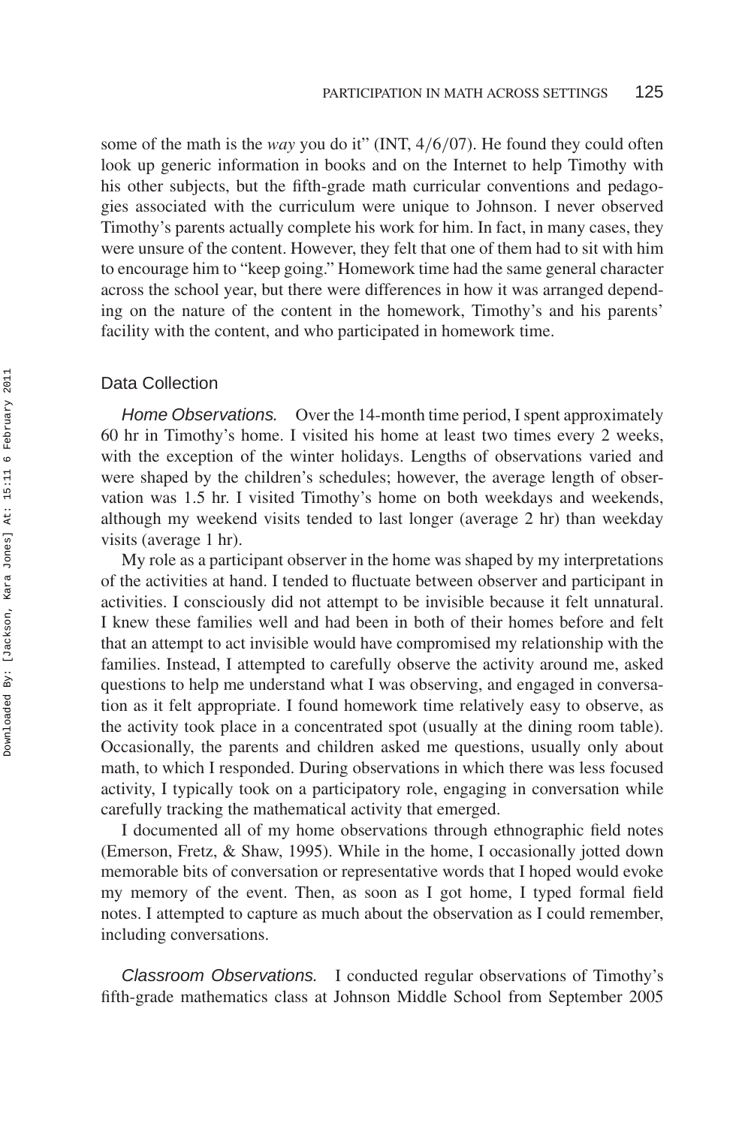some of the math is the *way* you do it" (INT, 4*/*6*/*07). He found they could often look up generic information in books and on the Internet to help Timothy with his other subjects, but the fifth-grade math curricular conventions and pedagogies associated with the curriculum were unique to Johnson. I never observed Timothy's parents actually complete his work for him. In fact, in many cases, they were unsure of the content. However, they felt that one of them had to sit with him to encourage him to "keep going." Homework time had the same general character across the school year, but there were differences in how it was arranged depending on the nature of the content in the homework, Timothy's and his parents' facility with the content, and who participated in homework time.

#### Data Collection

*Home Observations.* Over the 14-month time period, I spent approximately 60 hr in Timothy's home. I visited his home at least two times every 2 weeks, with the exception of the winter holidays. Lengths of observations varied and were shaped by the children's schedules; however, the average length of observation was 1.5 hr. I visited Timothy's home on both weekdays and weekends, although my weekend visits tended to last longer (average 2 hr) than weekday visits (average 1 hr).

My role as a participant observer in the home was shaped by my interpretations of the activities at hand. I tended to fluctuate between observer and participant in activities. I consciously did not attempt to be invisible because it felt unnatural. I knew these families well and had been in both of their homes before and felt that an attempt to act invisible would have compromised my relationship with the families. Instead, I attempted to carefully observe the activity around me, asked questions to help me understand what I was observing, and engaged in conversation as it felt appropriate. I found homework time relatively easy to observe, as the activity took place in a concentrated spot (usually at the dining room table). Occasionally, the parents and children asked me questions, usually only about math, to which I responded. During observations in which there was less focused activity, I typically took on a participatory role, engaging in conversation while carefully tracking the mathematical activity that emerged.

I documented all of my home observations through ethnographic field notes (Emerson, Fretz, & Shaw, 1995). While in the home, I occasionally jotted down memorable bits of conversation or representative words that I hoped would evoke my memory of the event. Then, as soon as I got home, I typed formal field notes. I attempted to capture as much about the observation as I could remember, including conversations.

*Classroom Observations.* I conducted regular observations of Timothy's fifth-grade mathematics class at Johnson Middle School from September 2005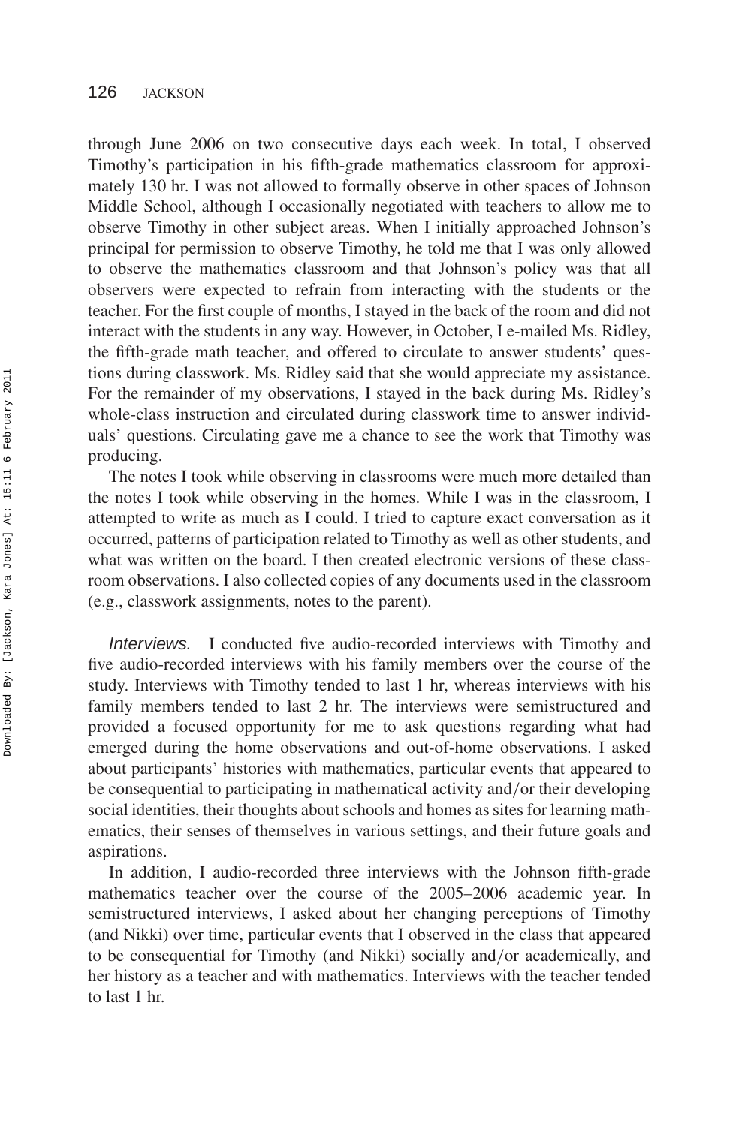through June 2006 on two consecutive days each week. In total, I observed Timothy's participation in his fifth-grade mathematics classroom for approximately 130 hr. I was not allowed to formally observe in other spaces of Johnson Middle School, although I occasionally negotiated with teachers to allow me to observe Timothy in other subject areas. When I initially approached Johnson's principal for permission to observe Timothy, he told me that I was only allowed to observe the mathematics classroom and that Johnson's policy was that all observers were expected to refrain from interacting with the students or the teacher. For the first couple of months, I stayed in the back of the room and did not interact with the students in any way. However, in October, I e-mailed Ms. Ridley, the fifth-grade math teacher, and offered to circulate to answer students' questions during classwork. Ms. Ridley said that she would appreciate my assistance. For the remainder of my observations, I stayed in the back during Ms. Ridley's whole-class instruction and circulated during classwork time to answer individuals' questions. Circulating gave me a chance to see the work that Timothy was producing.

The notes I took while observing in classrooms were much more detailed than the notes I took while observing in the homes. While I was in the classroom, I attempted to write as much as I could. I tried to capture exact conversation as it occurred, patterns of participation related to Timothy as well as other students, and what was written on the board. I then created electronic versions of these classroom observations. I also collected copies of any documents used in the classroom (e.g., classwork assignments, notes to the parent).

*Interviews.* I conducted five audio-recorded interviews with Timothy and five audio-recorded interviews with his family members over the course of the study. Interviews with Timothy tended to last 1 hr, whereas interviews with his family members tended to last 2 hr. The interviews were semistructured and provided a focused opportunity for me to ask questions regarding what had emerged during the home observations and out-of-home observations. I asked about participants' histories with mathematics, particular events that appeared to be consequential to participating in mathematical activity and*/*or their developing social identities, their thoughts about schools and homes as sites for learning mathematics, their senses of themselves in various settings, and their future goals and aspirations.

In addition, I audio-recorded three interviews with the Johnson fifth-grade mathematics teacher over the course of the 2005–2006 academic year. In semistructured interviews, I asked about her changing perceptions of Timothy (and Nikki) over time, particular events that I observed in the class that appeared to be consequential for Timothy (and Nikki) socially and*/*or academically, and her history as a teacher and with mathematics. Interviews with the teacher tended to last 1 hr.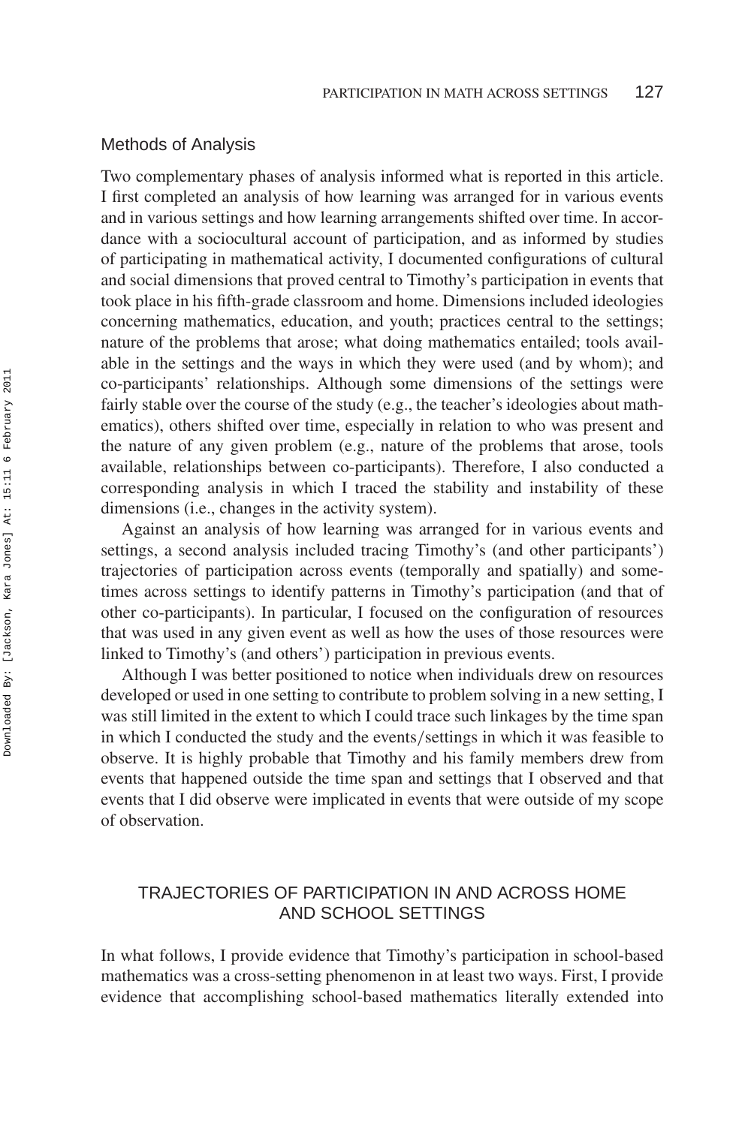#### Methods of Analysis

Two complementary phases of analysis informed what is reported in this article. I first completed an analysis of how learning was arranged for in various events and in various settings and how learning arrangements shifted over time. In accordance with a sociocultural account of participation, and as informed by studies of participating in mathematical activity, I documented configurations of cultural and social dimensions that proved central to Timothy's participation in events that took place in his fifth-grade classroom and home. Dimensions included ideologies concerning mathematics, education, and youth; practices central to the settings; nature of the problems that arose; what doing mathematics entailed; tools available in the settings and the ways in which they were used (and by whom); and co-participants' relationships. Although some dimensions of the settings were fairly stable over the course of the study (e.g., the teacher's ideologies about mathematics), others shifted over time, especially in relation to who was present and the nature of any given problem (e.g., nature of the problems that arose, tools available, relationships between co-participants). Therefore, I also conducted a corresponding analysis in which I traced the stability and instability of these dimensions (i.e., changes in the activity system).

Against an analysis of how learning was arranged for in various events and settings, a second analysis included tracing Timothy's (and other participants') trajectories of participation across events (temporally and spatially) and sometimes across settings to identify patterns in Timothy's participation (and that of other co-participants). In particular, I focused on the configuration of resources that was used in any given event as well as how the uses of those resources were linked to Timothy's (and others') participation in previous events.

Although I was better positioned to notice when individuals drew on resources developed or used in one setting to contribute to problem solving in a new setting, I was still limited in the extent to which I could trace such linkages by the time span in which I conducted the study and the events*/*settings in which it was feasible to observe. It is highly probable that Timothy and his family members drew from events that happened outside the time span and settings that I observed and that events that I did observe were implicated in events that were outside of my scope of observation.

# TRAJECTORIES OF PARTICIPATION IN AND ACROSS HOME AND SCHOOL SETTINGS

In what follows, I provide evidence that Timothy's participation in school-based mathematics was a cross-setting phenomenon in at least two ways. First, I provide evidence that accomplishing school-based mathematics literally extended into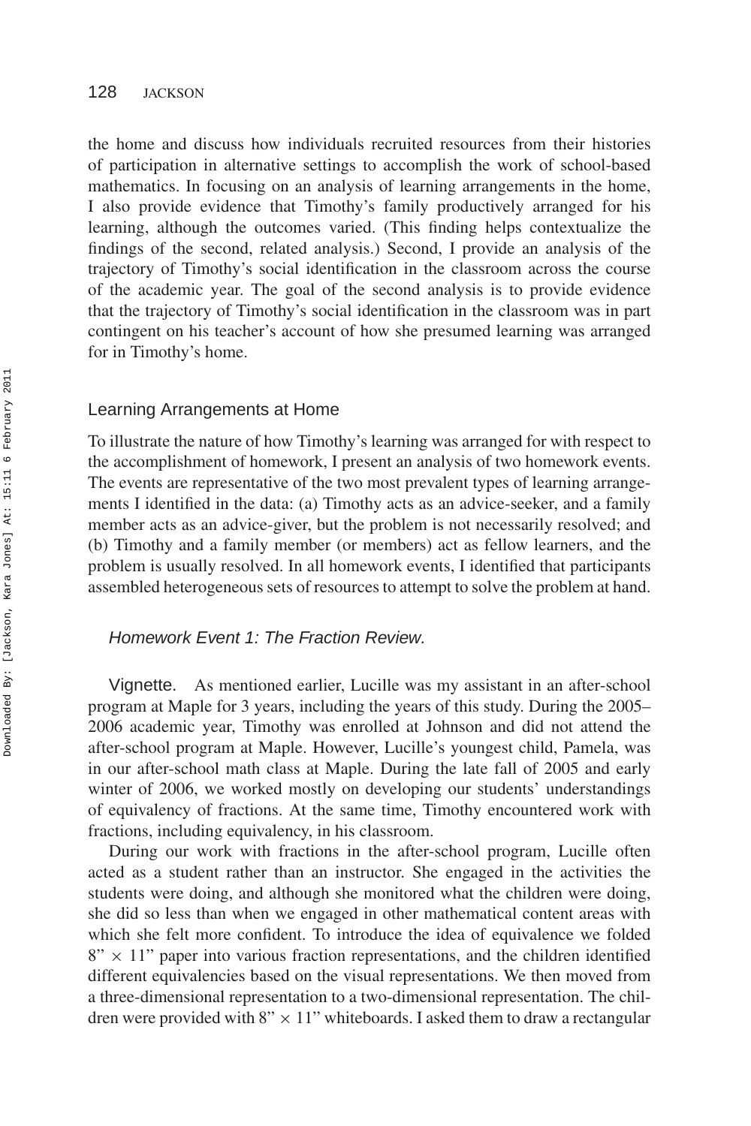#### 128 JACKSON

the home and discuss how individuals recruited resources from their histories of participation in alternative settings to accomplish the work of school-based mathematics. In focusing on an analysis of learning arrangements in the home, I also provide evidence that Timothy's family productively arranged for his learning, although the outcomes varied. (This finding helps contextualize the findings of the second, related analysis.) Second, I provide an analysis of the trajectory of Timothy's social identification in the classroom across the course of the academic year. The goal of the second analysis is to provide evidence that the trajectory of Timothy's social identification in the classroom was in part contingent on his teacher's account of how she presumed learning was arranged for in Timothy's home.

#### Learning Arrangements at Home

To illustrate the nature of how Timothy's learning was arranged for with respect to the accomplishment of homework, I present an analysis of two homework events. The events are representative of the two most prevalent types of learning arrangements I identified in the data: (a) Timothy acts as an advice-seeker, and a family member acts as an advice-giver, but the problem is not necessarily resolved; and (b) Timothy and a family member (or members) act as fellow learners, and the problem is usually resolved. In all homework events, I identified that participants assembled heterogeneous sets of resources to attempt to solve the problem at hand.

#### *Homework Event 1: The Fraction Review.*

Vignette. As mentioned earlier, Lucille was my assistant in an after-school program at Maple for 3 years, including the years of this study. During the 2005– 2006 academic year, Timothy was enrolled at Johnson and did not attend the after-school program at Maple. However, Lucille's youngest child, Pamela, was in our after-school math class at Maple. During the late fall of 2005 and early winter of 2006, we worked mostly on developing our students' understandings of equivalency of fractions. At the same time, Timothy encountered work with fractions, including equivalency, in his classroom.

During our work with fractions in the after-school program, Lucille often acted as a student rather than an instructor. She engaged in the activities the students were doing, and although she monitored what the children were doing, she did so less than when we engaged in other mathematical content areas with which she felt more confident. To introduce the idea of equivalence we folded  $8" \times 11"$  paper into various fraction representations, and the children identified different equivalencies based on the visual representations. We then moved from a three-dimensional representation to a two-dimensional representation. The children were provided with 8"  $\times$  11" whiteboards. I asked them to draw a rectangular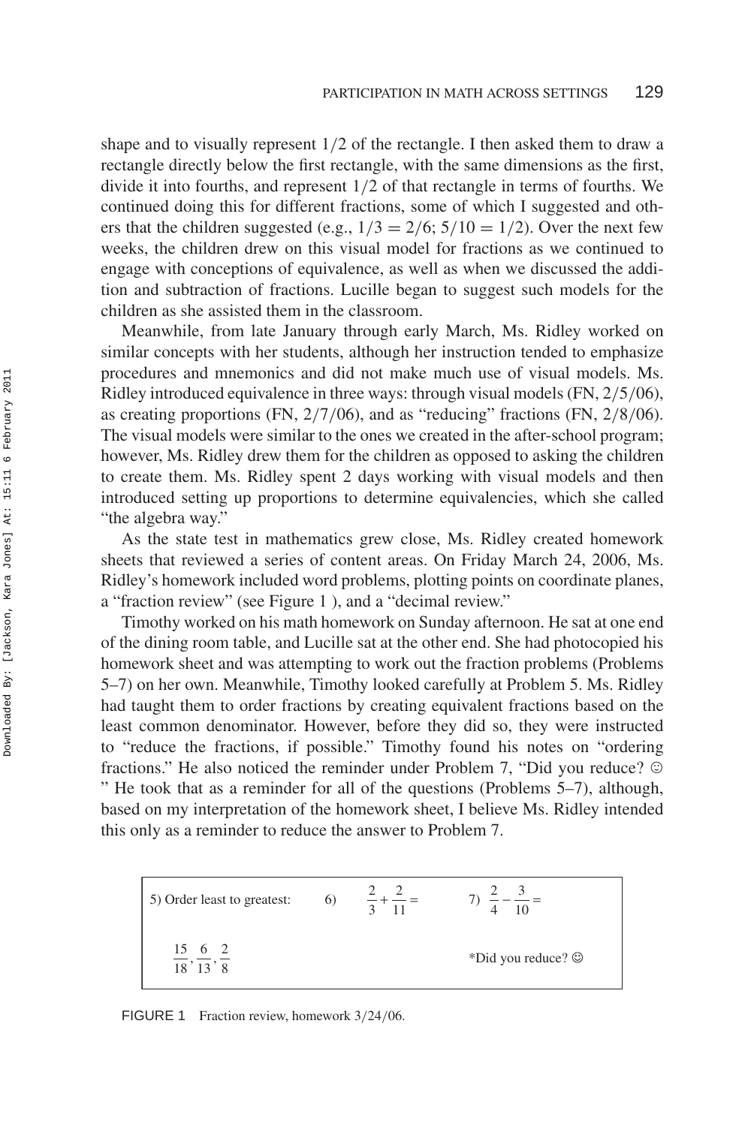shape and to visually represent 1*/*2 of the rectangle. I then asked them to draw a rectangle directly below the first rectangle, with the same dimensions as the first, divide it into fourths, and represent 1*/*2 of that rectangle in terms of fourths. We continued doing this for different fractions, some of which I suggested and others that the children suggested (e.g.,  $1/3 = 2/6$ ;  $5/10 = 1/2$ ). Over the next few weeks, the children drew on this visual model for fractions as we continued to engage with conceptions of equivalence, as well as when we discussed the addition and subtraction of fractions. Lucille began to suggest such models for the children as she assisted them in the classroom.

Meanwhile, from late January through early March, Ms. Ridley worked on similar concepts with her students, although her instruction tended to emphasize procedures and mnemonics and did not make much use of visual models. Ms. Ridley introduced equivalence in three ways: through visual models (FN, 2*/*5*/*06), as creating proportions (FN, 2*/*7*/*06), and as "reducing" fractions (FN, 2*/*8*/*06). The visual models were similar to the ones we created in the after-school program; however, Ms. Ridley drew them for the children as opposed to asking the children to create them. Ms. Ridley spent 2 days working with visual models and then introduced setting up proportions to determine equivalencies, which she called "the algebra way."

As the state test in mathematics grew close, Ms. Ridley created homework sheets that reviewed a series of content areas. On Friday March 24, 2006, Ms. Ridley's homework included word problems, plotting points on coordinate planes, a "fraction review" (see Figure 1 ), and a "decimal review."

Timothy worked on his math homework on Sunday afternoon. He sat at one end of the dining room table, and Lucille sat at the other end. She had photocopied his homework sheet and was attempting to work out the fraction problems (Problems 5–7) on her own. Meanwhile, Timothy looked carefully at Problem 5. Ms. Ridley had taught them to order fractions by creating equivalent fractions based on the least common denominator. However, before they did so, they were instructed to "reduce the fractions, if possible." Timothy found his notes on "ordering fractions." He also noticed the reminder under Problem 7, "Did you reduce?  $\odot$ " He took that as a reminder for all of the questions (Problems 5–7), although, based on my interpretation of the homework sheet, I believe Ms. Ridley intended this only as a reminder to reduce the answer to Problem 7.

5) Order least to greatest:   
6) 
$$
\frac{2}{3} + \frac{2}{11} =
$$
 7)  $\frac{2}{4} - \frac{3}{10} =$   
 $\frac{15}{18}, \frac{6}{13}, \frac{2}{8}$  \*Did you reduce?

FIGURE 1 Fraction review, homework 3*/*24*/*06.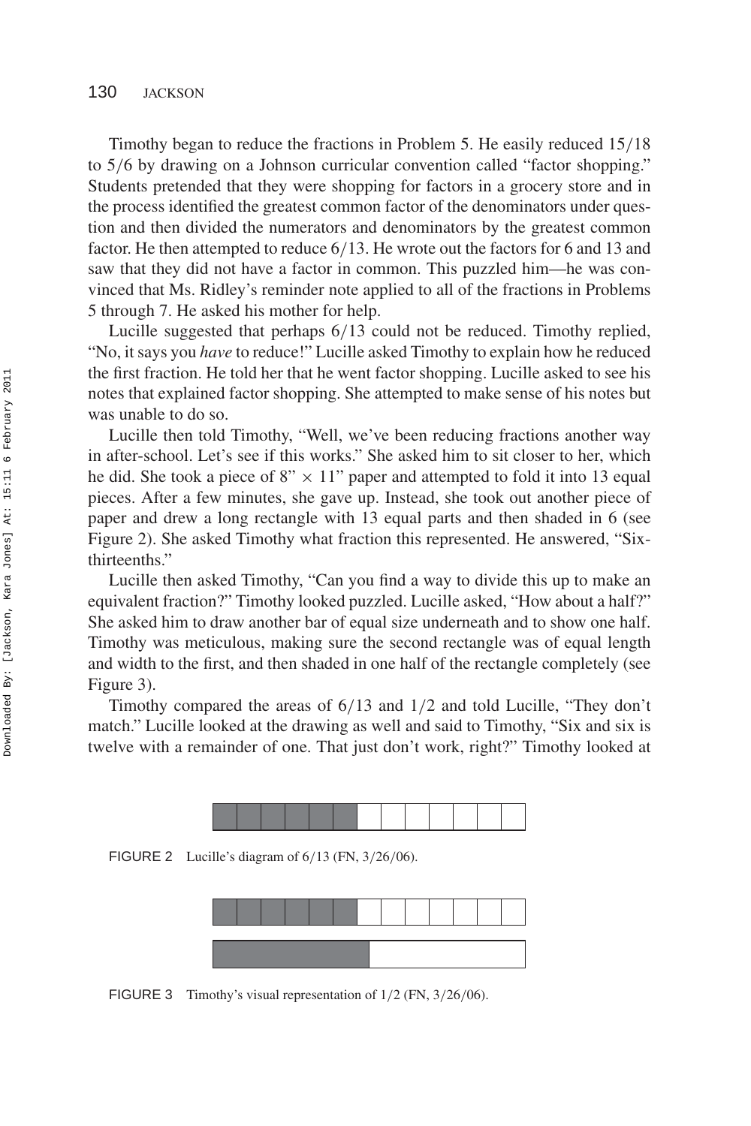Timothy began to reduce the fractions in Problem 5. He easily reduced 15*/*18 to 5*/*6 by drawing on a Johnson curricular convention called "factor shopping." Students pretended that they were shopping for factors in a grocery store and in the process identified the greatest common factor of the denominators under question and then divided the numerators and denominators by the greatest common factor. He then attempted to reduce 6*/*13. He wrote out the factors for 6 and 13 and saw that they did not have a factor in common. This puzzled him—he was convinced that Ms. Ridley's reminder note applied to all of the fractions in Problems 5 through 7. He asked his mother for help.

Lucille suggested that perhaps 6*/*13 could not be reduced. Timothy replied, "No, it says you *have* to reduce!" Lucille asked Timothy to explain how he reduced the first fraction. He told her that he went factor shopping. Lucille asked to see his notes that explained factor shopping. She attempted to make sense of his notes but was unable to do so.

Lucille then told Timothy, "Well, we've been reducing fractions another way in after-school. Let's see if this works." She asked him to sit closer to her, which he did. She took a piece of 8"  $\times$  11" paper and attempted to fold it into 13 equal pieces. After a few minutes, she gave up. Instead, she took out another piece of paper and drew a long rectangle with 13 equal parts and then shaded in 6 (see Figure 2). She asked Timothy what fraction this represented. He answered, "Sixthirteenths."

Lucille then asked Timothy, "Can you find a way to divide this up to make an equivalent fraction?" Timothy looked puzzled. Lucille asked, "How about a half?" She asked him to draw another bar of equal size underneath and to show one half. Timothy was meticulous, making sure the second rectangle was of equal length and width to the first, and then shaded in one half of the rectangle completely (see Figure 3).

Timothy compared the areas of 6*/*13 and 1*/*2 and told Lucille, "They don't match." Lucille looked at the drawing as well and said to Timothy, "Six and six is twelve with a remainder of one. That just don't work, right?" Timothy looked at



FIGURE 2 Lucille's diagram of 6*/*13 (FN, 3*/*26*/*06).



FIGURE 3 Timothy's visual representation of 1*/*2 (FN, 3*/*26*/*06).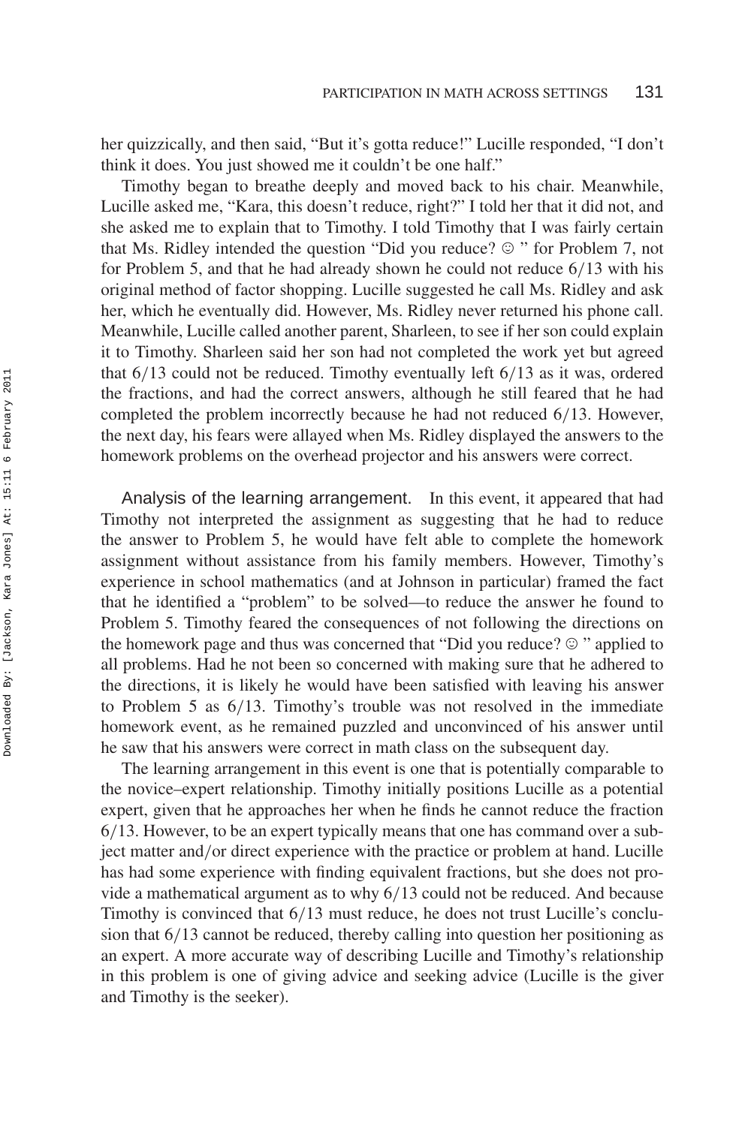her quizzically, and then said, "But it's gotta reduce!" Lucille responded, "I don't think it does. You just showed me it couldn't be one half."

Timothy began to breathe deeply and moved back to his chair. Meanwhile, Lucille asked me, "Kara, this doesn't reduce, right?" I told her that it did not, and she asked me to explain that to Timothy. I told Timothy that I was fairly certain that Ms. Ridley intended the question "Did you reduce?  $\odot$  " for Problem 7, not for Problem 5, and that he had already shown he could not reduce 6*/*13 with his original method of factor shopping. Lucille suggested he call Ms. Ridley and ask her, which he eventually did. However, Ms. Ridley never returned his phone call. Meanwhile, Lucille called another parent, Sharleen, to see if her son could explain it to Timothy. Sharleen said her son had not completed the work yet but agreed that 6*/*13 could not be reduced. Timothy eventually left 6*/*13 as it was, ordered the fractions, and had the correct answers, although he still feared that he had completed the problem incorrectly because he had not reduced 6*/*13. However, the next day, his fears were allayed when Ms. Ridley displayed the answers to the homework problems on the overhead projector and his answers were correct.

Analysis of the learning arrangement. In this event, it appeared that had Timothy not interpreted the assignment as suggesting that he had to reduce the answer to Problem 5, he would have felt able to complete the homework assignment without assistance from his family members. However, Timothy's experience in school mathematics (and at Johnson in particular) framed the fact that he identified a "problem" to be solved—to reduce the answer he found to Problem 5. Timothy feared the consequences of not following the directions on the homework page and thus was concerned that "Did you reduce?  $\odot$  " applied to all problems. Had he not been so concerned with making sure that he adhered to the directions, it is likely he would have been satisfied with leaving his answer to Problem 5 as 6*/*13. Timothy's trouble was not resolved in the immediate homework event, as he remained puzzled and unconvinced of his answer until he saw that his answers were correct in math class on the subsequent day.

The learning arrangement in this event is one that is potentially comparable to the novice–expert relationship. Timothy initially positions Lucille as a potential expert, given that he approaches her when he finds he cannot reduce the fraction 6*/*13. However, to be an expert typically means that one has command over a subject matter and*/*or direct experience with the practice or problem at hand. Lucille has had some experience with finding equivalent fractions, but she does not provide a mathematical argument as to why 6*/*13 could not be reduced. And because Timothy is convinced that 6*/*13 must reduce, he does not trust Lucille's conclusion that 6*/*13 cannot be reduced, thereby calling into question her positioning as an expert. A more accurate way of describing Lucille and Timothy's relationship in this problem is one of giving advice and seeking advice (Lucille is the giver and Timothy is the seeker).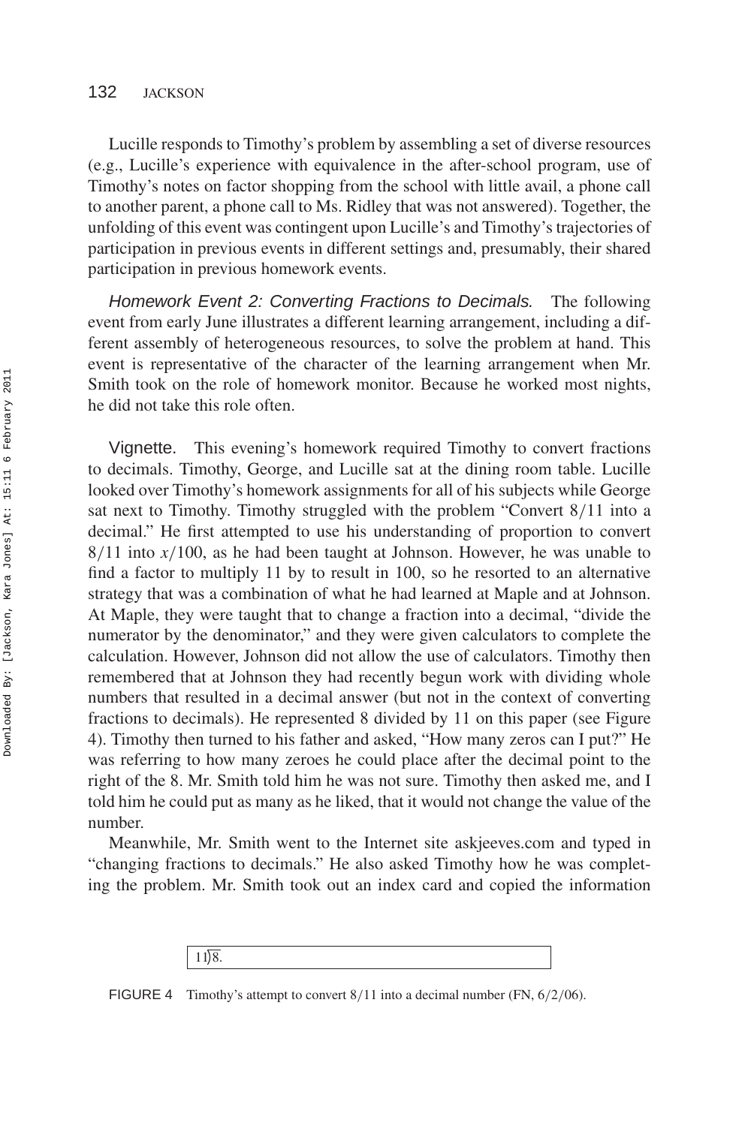Lucille responds to Timothy's problem by assembling a set of diverse resources (e.g., Lucille's experience with equivalence in the after-school program, use of Timothy's notes on factor shopping from the school with little avail, a phone call to another parent, a phone call to Ms. Ridley that was not answered). Together, the unfolding of this event was contingent upon Lucille's and Timothy's trajectories of participation in previous events in different settings and, presumably, their shared participation in previous homework events.

*Homework Event 2: Converting Fractions to Decimals.* The following event from early June illustrates a different learning arrangement, including a different assembly of heterogeneous resources, to solve the problem at hand. This event is representative of the character of the learning arrangement when Mr. Smith took on the role of homework monitor. Because he worked most nights, he did not take this role often.

Vignette. This evening's homework required Timothy to convert fractions to decimals. Timothy, George, and Lucille sat at the dining room table. Lucille looked over Timothy's homework assignments for all of his subjects while George sat next to Timothy. Timothy struggled with the problem "Convert 8*/*11 into a decimal." He first attempted to use his understanding of proportion to convert 8*/*11 into *x/*100, as he had been taught at Johnson. However, he was unable to find a factor to multiply 11 by to result in 100, so he resorted to an alternative strategy that was a combination of what he had learned at Maple and at Johnson. At Maple, they were taught that to change a fraction into a decimal, "divide the numerator by the denominator," and they were given calculators to complete the calculation. However, Johnson did not allow the use of calculators. Timothy then remembered that at Johnson they had recently begun work with dividing whole numbers that resulted in a decimal answer (but not in the context of converting fractions to decimals). He represented 8 divided by 11 on this paper (see Figure 4). Timothy then turned to his father and asked, "How many zeros can I put?" He was referring to how many zeroes he could place after the decimal point to the right of the 8. Mr. Smith told him he was not sure. Timothy then asked me, and I told him he could put as many as he liked, that it would not change the value of the number.

Meanwhile, Mr. Smith went to the Internet site askjeeves.com and typed in "changing fractions to decimals." He also asked Timothy how he was completing the problem. Mr. Smith took out an index card and copied the information



FIGURE 4 Timothy's attempt to convert 8*/*11 into a decimal number (FN, 6*/*2*/*06).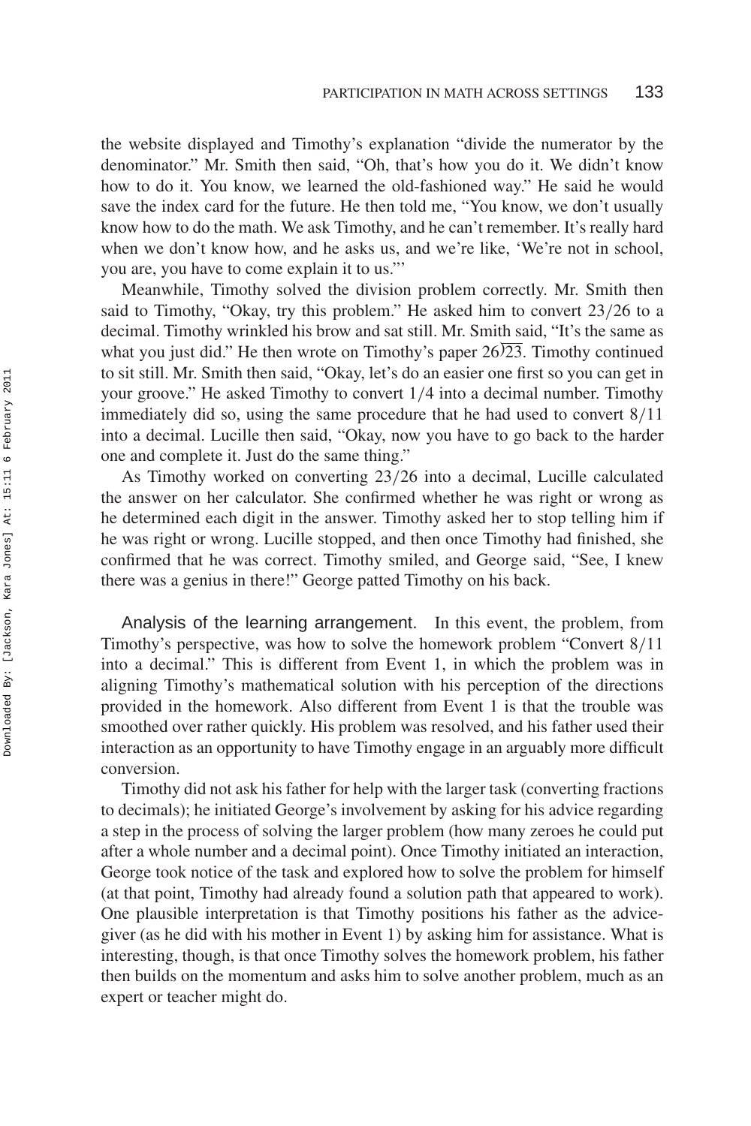the website displayed and Timothy's explanation "divide the numerator by the denominator." Mr. Smith then said, "Oh, that's how you do it. We didn't know how to do it. You know, we learned the old-fashioned way." He said he would save the index card for the future. He then told me, "You know, we don't usually know how to do the math. We ask Timothy, and he can't remember. It's really hard when we don't know how, and he asks us, and we're like, 'We're not in school, you are, you have to come explain it to us."'

Meanwhile, Timothy solved the division problem correctly. Mr. Smith then said to Timothy, "Okay, try this problem." He asked him to convert 23*/*26 to a decimal. Timothy wrinkled his brow and sat still. Mr. Smith said, "It's the same as what you just did." He then wrote on Timothy's paper  $26\overline{23}$ . Timothy continued to sit still. Mr. Smith then said, "Okay, let's do an easier one first so you can get in your groove." He asked Timothy to convert 1*/*4 into a decimal number. Timothy immediately did so, using the same procedure that he had used to convert 8*/*11 into a decimal. Lucille then said, "Okay, now you have to go back to the harder one and complete it. Just do the same thing."

As Timothy worked on converting 23*/*26 into a decimal, Lucille calculated the answer on her calculator. She confirmed whether he was right or wrong as he determined each digit in the answer. Timothy asked her to stop telling him if he was right or wrong. Lucille stopped, and then once Timothy had finished, she confirmed that he was correct. Timothy smiled, and George said, "See, I knew there was a genius in there!" George patted Timothy on his back.

Analysis of the learning arrangement. In this event, the problem, from Timothy's perspective, was how to solve the homework problem "Convert 8*/*11 into a decimal." This is different from Event 1, in which the problem was in aligning Timothy's mathematical solution with his perception of the directions provided in the homework. Also different from Event 1 is that the trouble was smoothed over rather quickly. His problem was resolved, and his father used their interaction as an opportunity to have Timothy engage in an arguably more difficult conversion.

Timothy did not ask his father for help with the larger task (converting fractions to decimals); he initiated George's involvement by asking for his advice regarding a step in the process of solving the larger problem (how many zeroes he could put after a whole number and a decimal point). Once Timothy initiated an interaction, George took notice of the task and explored how to solve the problem for himself (at that point, Timothy had already found a solution path that appeared to work). One plausible interpretation is that Timothy positions his father as the advicegiver (as he did with his mother in Event 1) by asking him for assistance. What is interesting, though, is that once Timothy solves the homework problem, his father then builds on the momentum and asks him to solve another problem, much as an expert or teacher might do.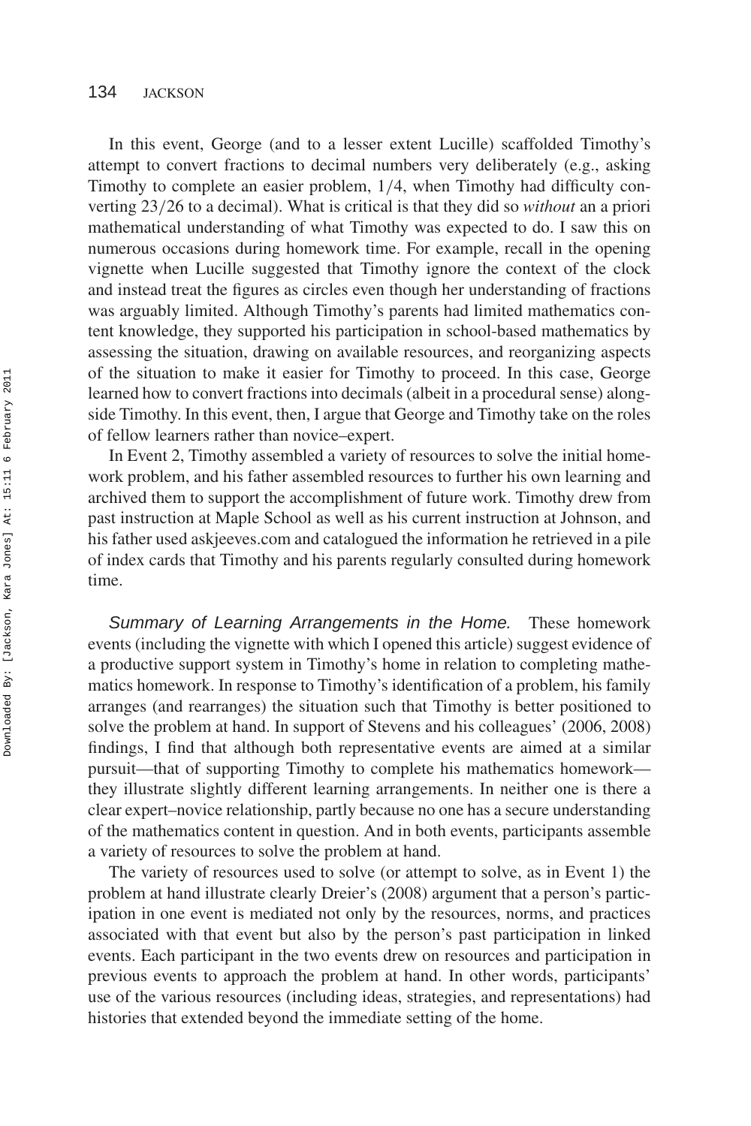In this event, George (and to a lesser extent Lucille) scaffolded Timothy's attempt to convert fractions to decimal numbers very deliberately (e.g., asking Timothy to complete an easier problem, 1*/*4, when Timothy had difficulty converting 23*/*26 to a decimal). What is critical is that they did so *without* an a priori mathematical understanding of what Timothy was expected to do. I saw this on numerous occasions during homework time. For example, recall in the opening vignette when Lucille suggested that Timothy ignore the context of the clock and instead treat the figures as circles even though her understanding of fractions was arguably limited. Although Timothy's parents had limited mathematics content knowledge, they supported his participation in school-based mathematics by assessing the situation, drawing on available resources, and reorganizing aspects of the situation to make it easier for Timothy to proceed. In this case, George learned how to convert fractions into decimals (albeit in a procedural sense) alongside Timothy. In this event, then, I argue that George and Timothy take on the roles of fellow learners rather than novice–expert.

In Event 2, Timothy assembled a variety of resources to solve the initial homework problem, and his father assembled resources to further his own learning and archived them to support the accomplishment of future work. Timothy drew from past instruction at Maple School as well as his current instruction at Johnson, and his father used askjeeves.com and catalogued the information he retrieved in a pile of index cards that Timothy and his parents regularly consulted during homework time.

*Summary of Learning Arrangements in the Home.* These homework events (including the vignette with which I opened this article) suggest evidence of a productive support system in Timothy's home in relation to completing mathematics homework. In response to Timothy's identification of a problem, his family arranges (and rearranges) the situation such that Timothy is better positioned to solve the problem at hand. In support of Stevens and his colleagues' (2006, 2008) findings, I find that although both representative events are aimed at a similar pursuit—that of supporting Timothy to complete his mathematics homework they illustrate slightly different learning arrangements. In neither one is there a clear expert–novice relationship, partly because no one has a secure understanding of the mathematics content in question. And in both events, participants assemble a variety of resources to solve the problem at hand.

The variety of resources used to solve (or attempt to solve, as in Event 1) the problem at hand illustrate clearly Dreier's (2008) argument that a person's participation in one event is mediated not only by the resources, norms, and practices associated with that event but also by the person's past participation in linked events. Each participant in the two events drew on resources and participation in previous events to approach the problem at hand. In other words, participants' use of the various resources (including ideas, strategies, and representations) had histories that extended beyond the immediate setting of the home.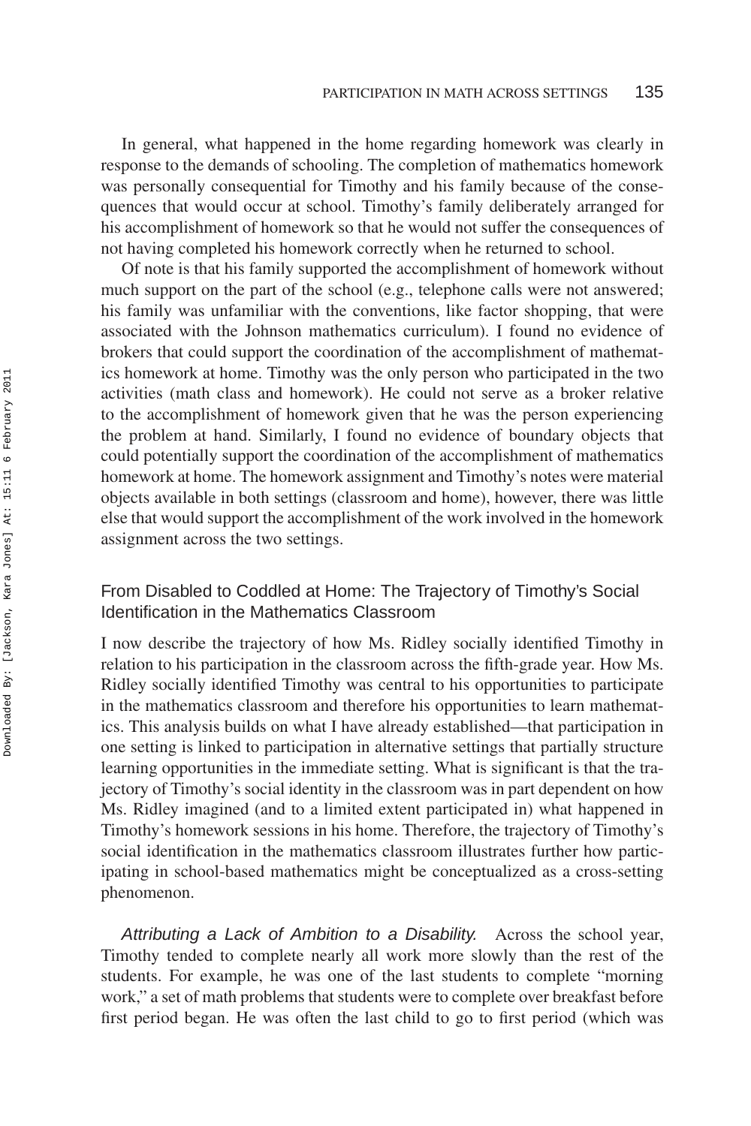In general, what happened in the home regarding homework was clearly in response to the demands of schooling. The completion of mathematics homework was personally consequential for Timothy and his family because of the consequences that would occur at school. Timothy's family deliberately arranged for his accomplishment of homework so that he would not suffer the consequences of not having completed his homework correctly when he returned to school.

Of note is that his family supported the accomplishment of homework without much support on the part of the school (e.g., telephone calls were not answered; his family was unfamiliar with the conventions, like factor shopping, that were associated with the Johnson mathematics curriculum). I found no evidence of brokers that could support the coordination of the accomplishment of mathematics homework at home. Timothy was the only person who participated in the two activities (math class and homework). He could not serve as a broker relative to the accomplishment of homework given that he was the person experiencing the problem at hand. Similarly, I found no evidence of boundary objects that could potentially support the coordination of the accomplishment of mathematics homework at home. The homework assignment and Timothy's notes were material objects available in both settings (classroom and home), however, there was little else that would support the accomplishment of the work involved in the homework assignment across the two settings.

# From Disabled to Coddled at Home: The Trajectory of Timothy's Social Identification in the Mathematics Classroom

I now describe the trajectory of how Ms. Ridley socially identified Timothy in relation to his participation in the classroom across the fifth-grade year. How Ms. Ridley socially identified Timothy was central to his opportunities to participate in the mathematics classroom and therefore his opportunities to learn mathematics. This analysis builds on what I have already established—that participation in one setting is linked to participation in alternative settings that partially structure learning opportunities in the immediate setting. What is significant is that the trajectory of Timothy's social identity in the classroom was in part dependent on how Ms. Ridley imagined (and to a limited extent participated in) what happened in Timothy's homework sessions in his home. Therefore, the trajectory of Timothy's social identification in the mathematics classroom illustrates further how participating in school-based mathematics might be conceptualized as a cross-setting phenomenon.

*Attributing a Lack of Ambition to a Disability.* Across the school year, Timothy tended to complete nearly all work more slowly than the rest of the students. For example, he was one of the last students to complete "morning work," a set of math problems that students were to complete over breakfast before first period began. He was often the last child to go to first period (which was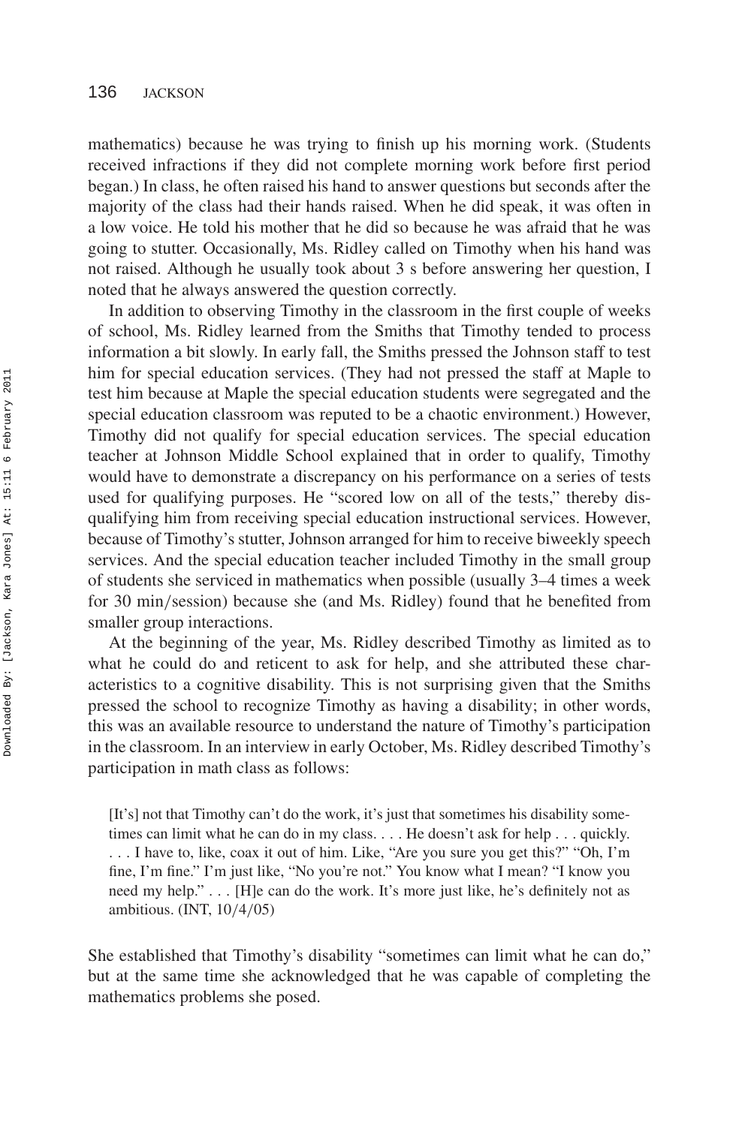mathematics) because he was trying to finish up his morning work. (Students received infractions if they did not complete morning work before first period began.) In class, he often raised his hand to answer questions but seconds after the majority of the class had their hands raised. When he did speak, it was often in a low voice. He told his mother that he did so because he was afraid that he was going to stutter. Occasionally, Ms. Ridley called on Timothy when his hand was not raised. Although he usually took about 3 s before answering her question, I noted that he always answered the question correctly.

In addition to observing Timothy in the classroom in the first couple of weeks of school, Ms. Ridley learned from the Smiths that Timothy tended to process information a bit slowly. In early fall, the Smiths pressed the Johnson staff to test him for special education services. (They had not pressed the staff at Maple to test him because at Maple the special education students were segregated and the special education classroom was reputed to be a chaotic environment.) However, Timothy did not qualify for special education services. The special education teacher at Johnson Middle School explained that in order to qualify, Timothy would have to demonstrate a discrepancy on his performance on a series of tests used for qualifying purposes. He "scored low on all of the tests," thereby disqualifying him from receiving special education instructional services. However, because of Timothy's stutter, Johnson arranged for him to receive biweekly speech services. And the special education teacher included Timothy in the small group of students she serviced in mathematics when possible (usually 3–4 times a week for 30 min*/*session) because she (and Ms. Ridley) found that he benefited from smaller group interactions.

At the beginning of the year, Ms. Ridley described Timothy as limited as to what he could do and reticent to ask for help, and she attributed these characteristics to a cognitive disability. This is not surprising given that the Smiths pressed the school to recognize Timothy as having a disability; in other words, this was an available resource to understand the nature of Timothy's participation in the classroom. In an interview in early October, Ms. Ridley described Timothy's participation in math class as follows:

[It's] not that Timothy can't do the work, it's just that sometimes his disability sometimes can limit what he can do in my class. *...* He doesn't ask for help *...* quickly. *...* I have to, like, coax it out of him. Like, "Are you sure you get this?" "Oh, I'm fine, I'm fine." I'm just like, "No you're not." You know what I mean? "I know you need my help." *...* [H]e can do the work. It's more just like, he's definitely not as ambitious. (INT, 10*/*4*/*05)

She established that Timothy's disability "sometimes can limit what he can do," but at the same time she acknowledged that he was capable of completing the mathematics problems she posed.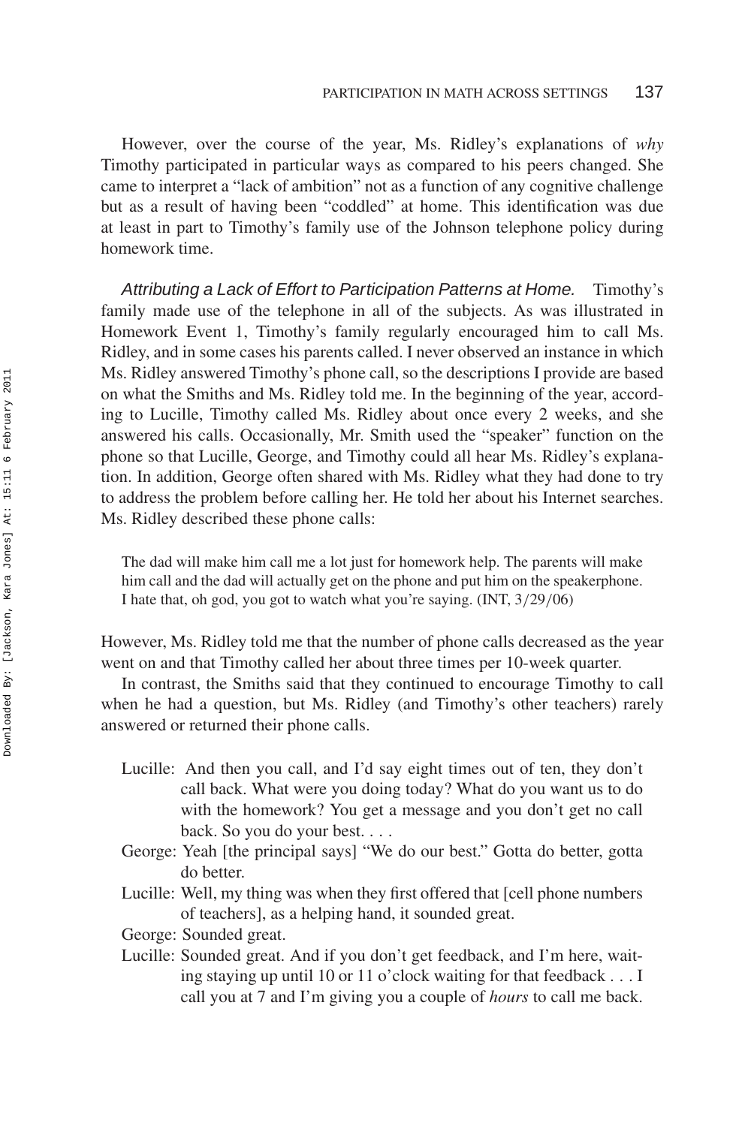However, over the course of the year, Ms. Ridley's explanations of *why* Timothy participated in particular ways as compared to his peers changed. She came to interpret a "lack of ambition" not as a function of any cognitive challenge but as a result of having been "coddled" at home. This identification was due at least in part to Timothy's family use of the Johnson telephone policy during homework time.

*Attributing a Lack of Effort to Participation Patterns at Home.* Timothy's family made use of the telephone in all of the subjects. As was illustrated in Homework Event 1, Timothy's family regularly encouraged him to call Ms. Ridley, and in some cases his parents called. I never observed an instance in which Ms. Ridley answered Timothy's phone call, so the descriptions I provide are based on what the Smiths and Ms. Ridley told me. In the beginning of the year, according to Lucille, Timothy called Ms. Ridley about once every 2 weeks, and she answered his calls. Occasionally, Mr. Smith used the "speaker" function on the phone so that Lucille, George, and Timothy could all hear Ms. Ridley's explanation. In addition, George often shared with Ms. Ridley what they had done to try to address the problem before calling her. He told her about his Internet searches. Ms. Ridley described these phone calls:

The dad will make him call me a lot just for homework help. The parents will make him call and the dad will actually get on the phone and put him on the speakerphone. I hate that, oh god, you got to watch what you're saying. (INT, 3*/*29*/*06)

However, Ms. Ridley told me that the number of phone calls decreased as the year went on and that Timothy called her about three times per 10-week quarter.

In contrast, the Smiths said that they continued to encourage Timothy to call when he had a question, but Ms. Ridley (and Timothy's other teachers) rarely answered or returned their phone calls.

- Lucille: And then you call, and I'd say eight times out of ten, they don't call back. What were you doing today? What do you want us to do with the homework? You get a message and you don't get no call back. So you do your best. *...*
- George: Yeah [the principal says] "We do our best." Gotta do better, gotta do better.
- Lucille: Well, my thing was when they first offered that [cell phone numbers of teachers], as a helping hand, it sounded great.
- George: Sounded great.
- Lucille: Sounded great. And if you don't get feedback, and I'm here, waiting staying up until 10 or 11 o'clock waiting for that feedback *...* I call you at 7 and I'm giving you a couple of *hours* to call me back.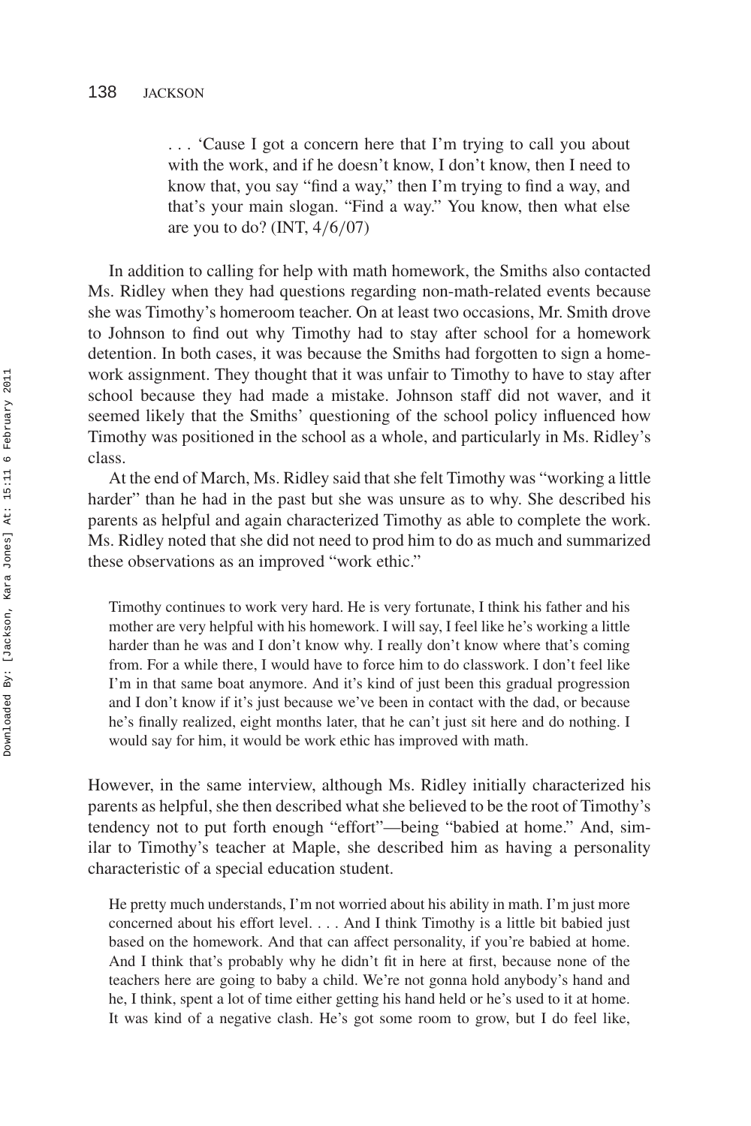*...* 'Cause I got a concern here that I'm trying to call you about with the work, and if he doesn't know, I don't know, then I need to know that, you say "find a way," then I'm trying to find a way, and that's your main slogan. "Find a way." You know, then what else are you to do? (INT, 4*/*6*/*07)

In addition to calling for help with math homework, the Smiths also contacted Ms. Ridley when they had questions regarding non-math-related events because she was Timothy's homeroom teacher. On at least two occasions, Mr. Smith drove to Johnson to find out why Timothy had to stay after school for a homework detention. In both cases, it was because the Smiths had forgotten to sign a homework assignment. They thought that it was unfair to Timothy to have to stay after school because they had made a mistake. Johnson staff did not waver, and it seemed likely that the Smiths' questioning of the school policy influenced how Timothy was positioned in the school as a whole, and particularly in Ms. Ridley's class.

At the end of March, Ms. Ridley said that she felt Timothy was "working a little harder" than he had in the past but she was unsure as to why. She described his parents as helpful and again characterized Timothy as able to complete the work. Ms. Ridley noted that she did not need to prod him to do as much and summarized these observations as an improved "work ethic."

Timothy continues to work very hard. He is very fortunate, I think his father and his mother are very helpful with his homework. I will say, I feel like he's working a little harder than he was and I don't know why. I really don't know where that's coming from. For a while there, I would have to force him to do classwork. I don't feel like I'm in that same boat anymore. And it's kind of just been this gradual progression and I don't know if it's just because we've been in contact with the dad, or because he's finally realized, eight months later, that he can't just sit here and do nothing. I would say for him, it would be work ethic has improved with math.

However, in the same interview, although Ms. Ridley initially characterized his parents as helpful, she then described what she believed to be the root of Timothy's tendency not to put forth enough "effort"—being "babied at home." And, similar to Timothy's teacher at Maple, she described him as having a personality characteristic of a special education student.

He pretty much understands, I'm not worried about his ability in math. I'm just more concerned about his effort level. *...* And I think Timothy is a little bit babied just based on the homework. And that can affect personality, if you're babied at home. And I think that's probably why he didn't fit in here at first, because none of the teachers here are going to baby a child. We're not gonna hold anybody's hand and he, I think, spent a lot of time either getting his hand held or he's used to it at home. It was kind of a negative clash. He's got some room to grow, but I do feel like,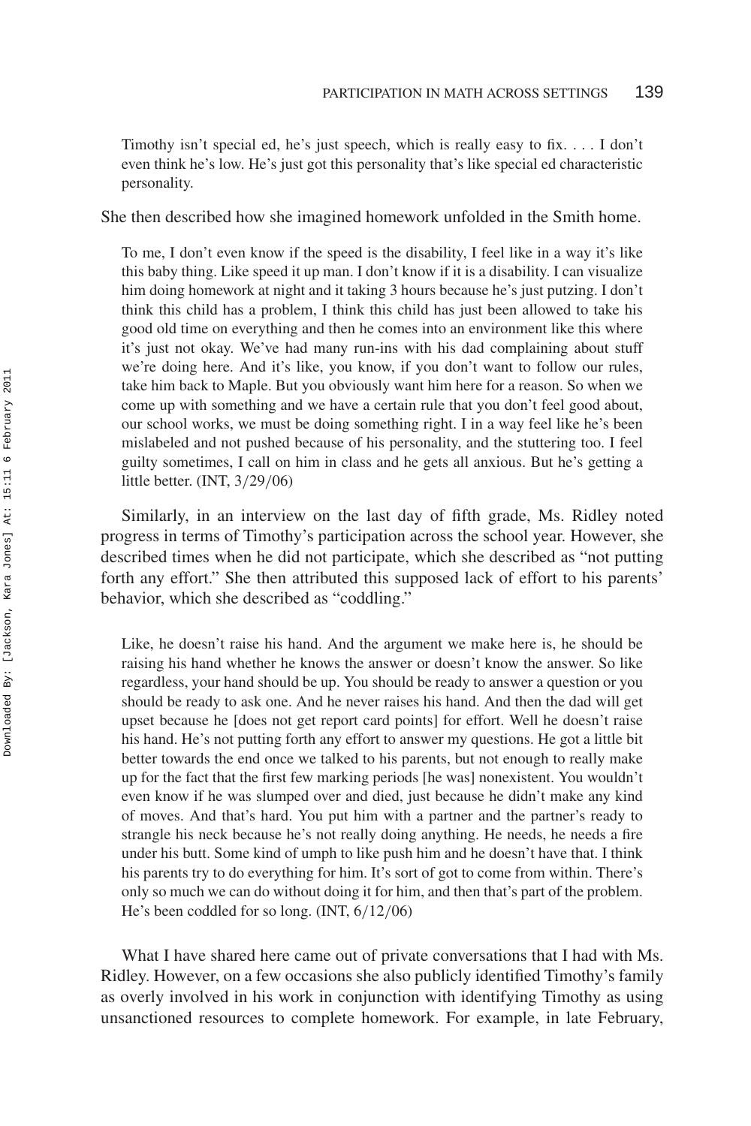Timothy isn't special ed, he's just speech, which is really easy to fix. *...* I don't even think he's low. He's just got this personality that's like special ed characteristic personality.

She then described how she imagined homework unfolded in the Smith home.

To me, I don't even know if the speed is the disability, I feel like in a way it's like this baby thing. Like speed it up man. I don't know if it is a disability. I can visualize him doing homework at night and it taking 3 hours because he's just putzing. I don't think this child has a problem, I think this child has just been allowed to take his good old time on everything and then he comes into an environment like this where it's just not okay. We've had many run-ins with his dad complaining about stuff we're doing here. And it's like, you know, if you don't want to follow our rules, take him back to Maple. But you obviously want him here for a reason. So when we come up with something and we have a certain rule that you don't feel good about, our school works, we must be doing something right. I in a way feel like he's been mislabeled and not pushed because of his personality, and the stuttering too. I feel guilty sometimes, I call on him in class and he gets all anxious. But he's getting a little better. (INT, 3*/*29*/*06)

Similarly, in an interview on the last day of fifth grade, Ms. Ridley noted progress in terms of Timothy's participation across the school year. However, she described times when he did not participate, which she described as "not putting forth any effort." She then attributed this supposed lack of effort to his parents' behavior, which she described as "coddling."

Like, he doesn't raise his hand. And the argument we make here is, he should be raising his hand whether he knows the answer or doesn't know the answer. So like regardless, your hand should be up. You should be ready to answer a question or you should be ready to ask one. And he never raises his hand. And then the dad will get upset because he [does not get report card points] for effort. Well he doesn't raise his hand. He's not putting forth any effort to answer my questions. He got a little bit better towards the end once we talked to his parents, but not enough to really make up for the fact that the first few marking periods [he was] nonexistent. You wouldn't even know if he was slumped over and died, just because he didn't make any kind of moves. And that's hard. You put him with a partner and the partner's ready to strangle his neck because he's not really doing anything. He needs, he needs a fire under his butt. Some kind of umph to like push him and he doesn't have that. I think his parents try to do everything for him. It's sort of got to come from within. There's only so much we can do without doing it for him, and then that's part of the problem. He's been coddled for so long. (INT, 6*/*12*/*06)

What I have shared here came out of private conversations that I had with Ms. Ridley. However, on a few occasions she also publicly identified Timothy's family as overly involved in his work in conjunction with identifying Timothy as using unsanctioned resources to complete homework. For example, in late February,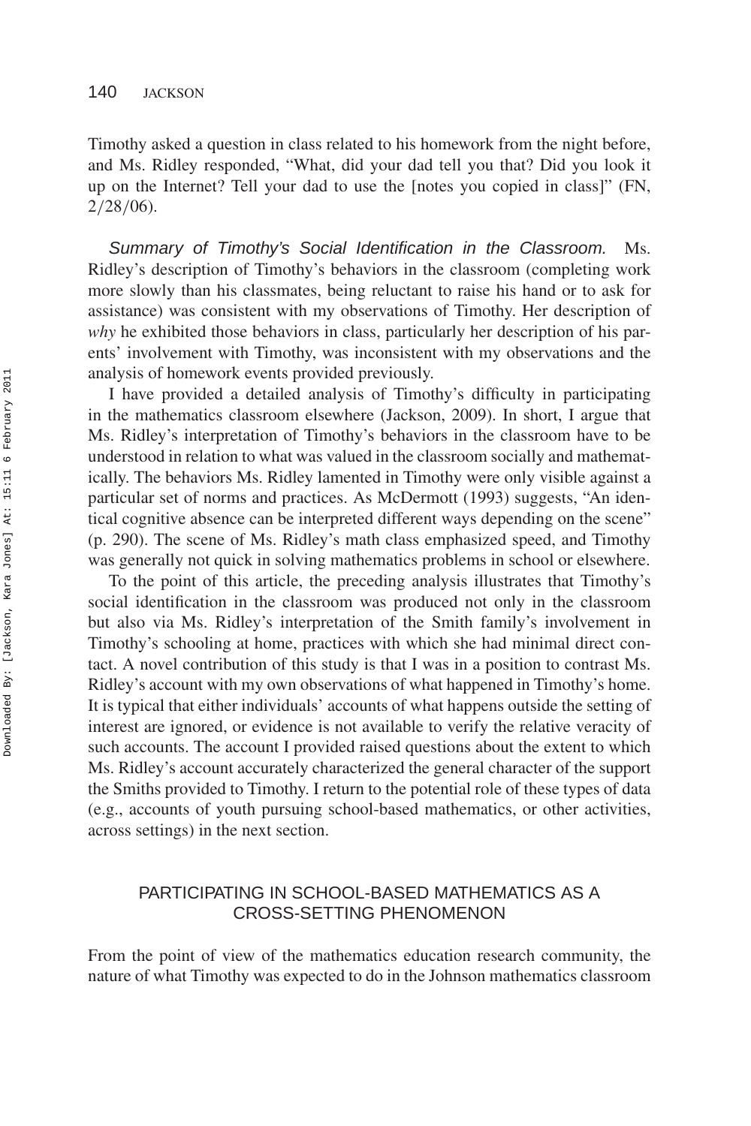Timothy asked a question in class related to his homework from the night before, and Ms. Ridley responded, "What, did your dad tell you that? Did you look it up on the Internet? Tell your dad to use the [notes you copied in class]" (FN, 2*/*28*/*06).

*Summary of Timothy's Social Identification in the Classroom.* Ms. Ridley's description of Timothy's behaviors in the classroom (completing work more slowly than his classmates, being reluctant to raise his hand or to ask for assistance) was consistent with my observations of Timothy. Her description of *why* he exhibited those behaviors in class, particularly her description of his parents' involvement with Timothy, was inconsistent with my observations and the analysis of homework events provided previously.

I have provided a detailed analysis of Timothy's difficulty in participating in the mathematics classroom elsewhere (Jackson, 2009). In short, I argue that Ms. Ridley's interpretation of Timothy's behaviors in the classroom have to be understood in relation to what was valued in the classroom socially and mathematically. The behaviors Ms. Ridley lamented in Timothy were only visible against a particular set of norms and practices. As McDermott (1993) suggests, "An identical cognitive absence can be interpreted different ways depending on the scene" (p. 290). The scene of Ms. Ridley's math class emphasized speed, and Timothy was generally not quick in solving mathematics problems in school or elsewhere.

To the point of this article, the preceding analysis illustrates that Timothy's social identification in the classroom was produced not only in the classroom but also via Ms. Ridley's interpretation of the Smith family's involvement in Timothy's schooling at home, practices with which she had minimal direct contact. A novel contribution of this study is that I was in a position to contrast Ms. Ridley's account with my own observations of what happened in Timothy's home. It is typical that either individuals' accounts of what happens outside the setting of interest are ignored, or evidence is not available to verify the relative veracity of such accounts. The account I provided raised questions about the extent to which Ms. Ridley's account accurately characterized the general character of the support the Smiths provided to Timothy. I return to the potential role of these types of data (e.g., accounts of youth pursuing school-based mathematics, or other activities, across settings) in the next section.

# PARTICIPATING IN SCHOOL-BASED MATHEMATICS AS A CROSS-SETTING PHENOMENON

From the point of view of the mathematics education research community, the nature of what Timothy was expected to do in the Johnson mathematics classroom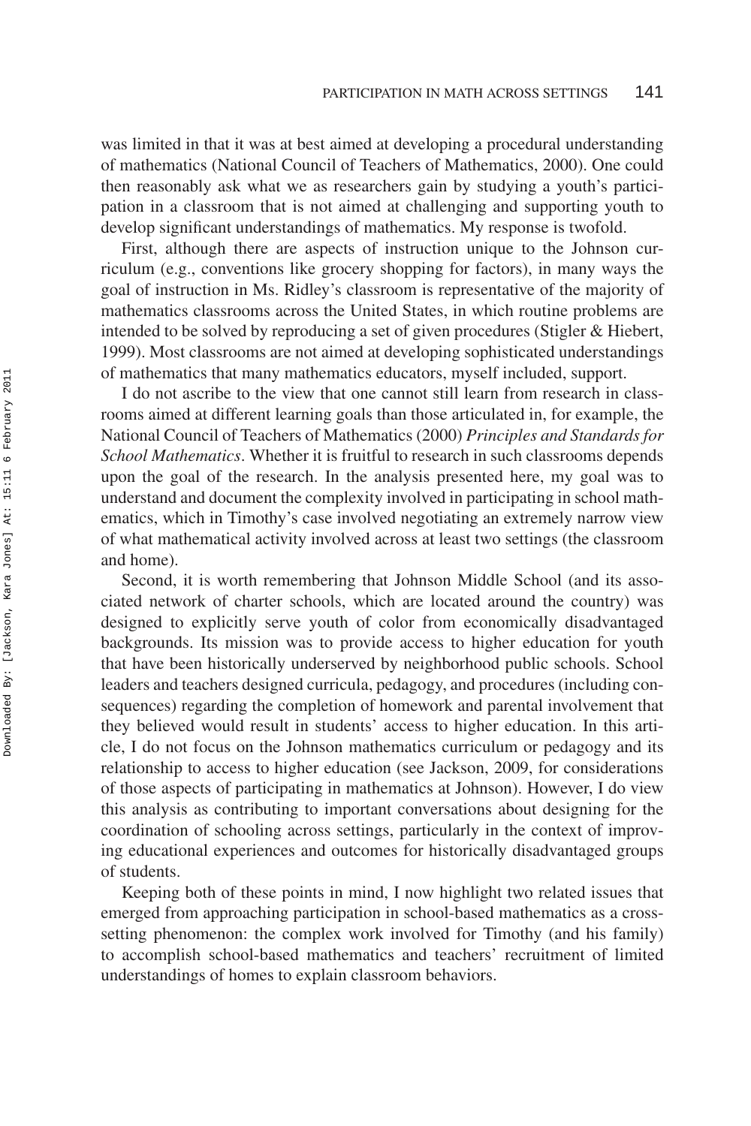was limited in that it was at best aimed at developing a procedural understanding of mathematics (National Council of Teachers of Mathematics, 2000). One could then reasonably ask what we as researchers gain by studying a youth's participation in a classroom that is not aimed at challenging and supporting youth to develop significant understandings of mathematics. My response is twofold.

First, although there are aspects of instruction unique to the Johnson curriculum (e.g., conventions like grocery shopping for factors), in many ways the goal of instruction in Ms. Ridley's classroom is representative of the majority of mathematics classrooms across the United States, in which routine problems are intended to be solved by reproducing a set of given procedures (Stigler & Hiebert, 1999). Most classrooms are not aimed at developing sophisticated understandings of mathematics that many mathematics educators, myself included, support.

I do not ascribe to the view that one cannot still learn from research in classrooms aimed at different learning goals than those articulated in, for example, the National Council of Teachers of Mathematics (2000) *Principles and Standards for School Mathematics*. Whether it is fruitful to research in such classrooms depends upon the goal of the research. In the analysis presented here, my goal was to understand and document the complexity involved in participating in school mathematics, which in Timothy's case involved negotiating an extremely narrow view of what mathematical activity involved across at least two settings (the classroom and home).

Second, it is worth remembering that Johnson Middle School (and its associated network of charter schools, which are located around the country) was designed to explicitly serve youth of color from economically disadvantaged backgrounds. Its mission was to provide access to higher education for youth that have been historically underserved by neighborhood public schools. School leaders and teachers designed curricula, pedagogy, and procedures (including consequences) regarding the completion of homework and parental involvement that they believed would result in students' access to higher education. In this article, I do not focus on the Johnson mathematics curriculum or pedagogy and its relationship to access to higher education (see Jackson, 2009, for considerations of those aspects of participating in mathematics at Johnson). However, I do view this analysis as contributing to important conversations about designing for the coordination of schooling across settings, particularly in the context of improving educational experiences and outcomes for historically disadvantaged groups of students.

Keeping both of these points in mind, I now highlight two related issues that emerged from approaching participation in school-based mathematics as a crosssetting phenomenon: the complex work involved for Timothy (and his family) to accomplish school-based mathematics and teachers' recruitment of limited understandings of homes to explain classroom behaviors.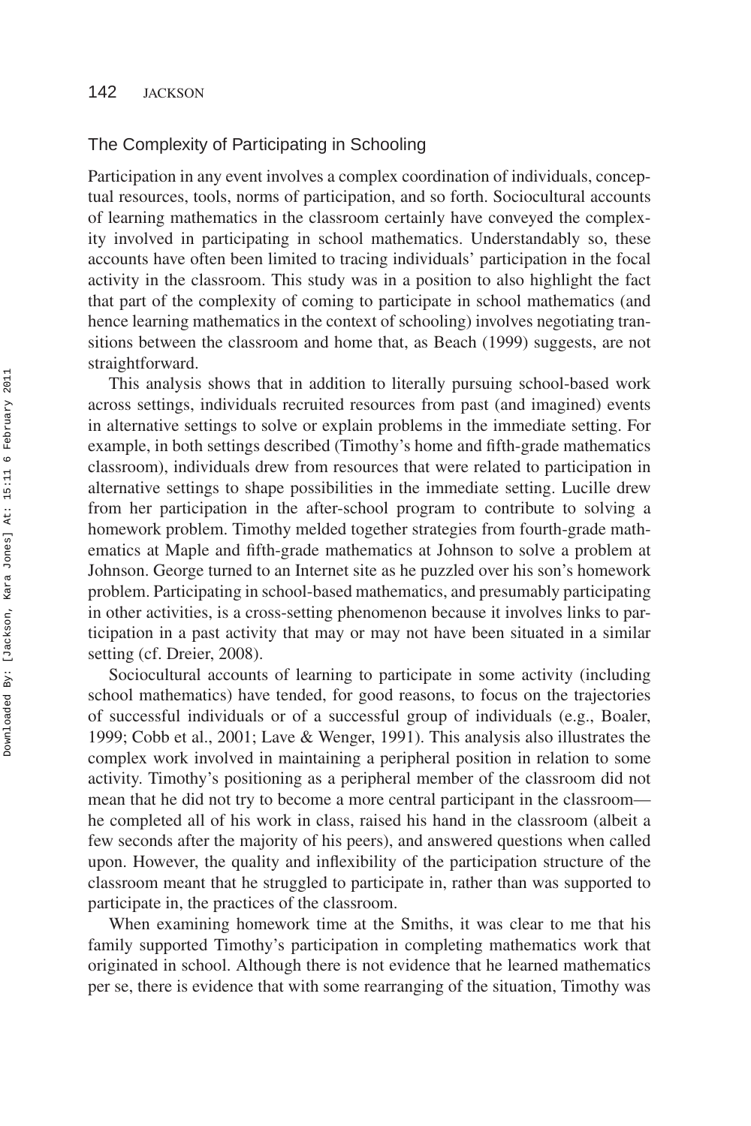#### The Complexity of Participating in Schooling

Participation in any event involves a complex coordination of individuals, conceptual resources, tools, norms of participation, and so forth. Sociocultural accounts of learning mathematics in the classroom certainly have conveyed the complexity involved in participating in school mathematics. Understandably so, these accounts have often been limited to tracing individuals' participation in the focal activity in the classroom. This study was in a position to also highlight the fact that part of the complexity of coming to participate in school mathematics (and hence learning mathematics in the context of schooling) involves negotiating transitions between the classroom and home that, as Beach (1999) suggests, are not straightforward.

This analysis shows that in addition to literally pursuing school-based work across settings, individuals recruited resources from past (and imagined) events in alternative settings to solve or explain problems in the immediate setting. For example, in both settings described (Timothy's home and fifth-grade mathematics classroom), individuals drew from resources that were related to participation in alternative settings to shape possibilities in the immediate setting. Lucille drew from her participation in the after-school program to contribute to solving a homework problem. Timothy melded together strategies from fourth-grade mathematics at Maple and fifth-grade mathematics at Johnson to solve a problem at Johnson. George turned to an Internet site as he puzzled over his son's homework problem. Participating in school-based mathematics, and presumably participating in other activities, is a cross-setting phenomenon because it involves links to participation in a past activity that may or may not have been situated in a similar setting (cf. Dreier, 2008).

Sociocultural accounts of learning to participate in some activity (including school mathematics) have tended, for good reasons, to focus on the trajectories of successful individuals or of a successful group of individuals (e.g., Boaler, 1999; Cobb et al., 2001; Lave & Wenger, 1991). This analysis also illustrates the complex work involved in maintaining a peripheral position in relation to some activity. Timothy's positioning as a peripheral member of the classroom did not mean that he did not try to become a more central participant in the classroom he completed all of his work in class, raised his hand in the classroom (albeit a few seconds after the majority of his peers), and answered questions when called upon. However, the quality and inflexibility of the participation structure of the classroom meant that he struggled to participate in, rather than was supported to participate in, the practices of the classroom.

When examining homework time at the Smiths, it was clear to me that his family supported Timothy's participation in completing mathematics work that originated in school. Although there is not evidence that he learned mathematics per se, there is evidence that with some rearranging of the situation, Timothy was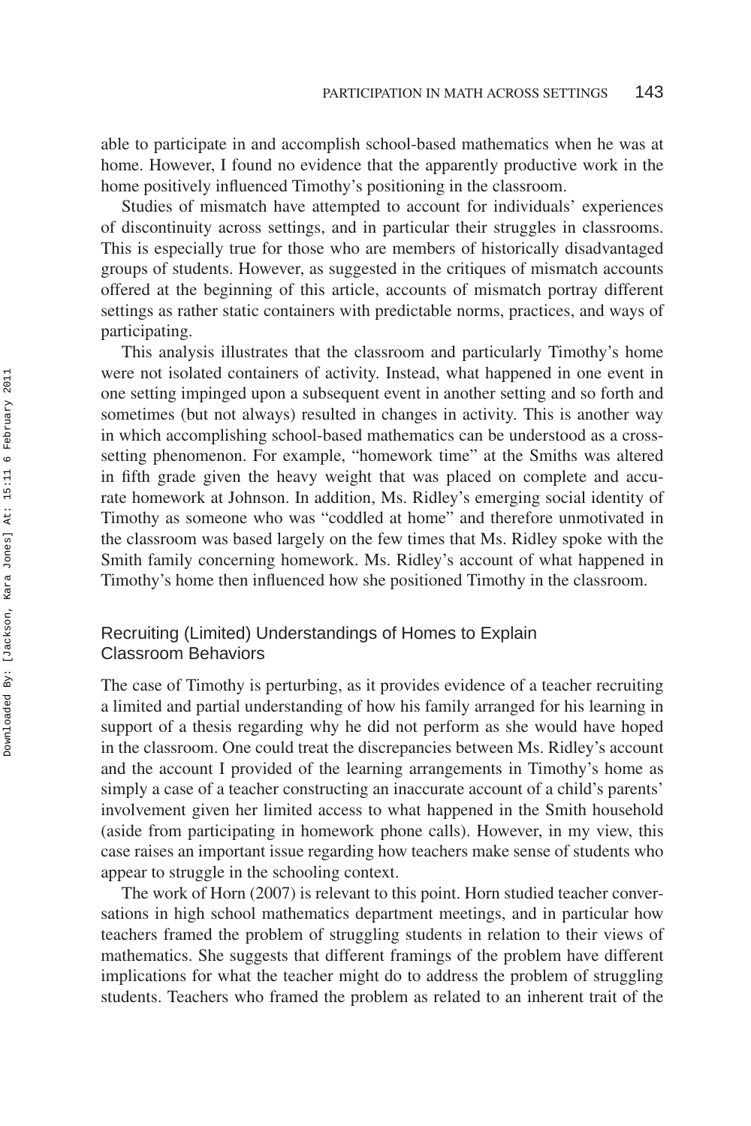able to participate in and accomplish school-based mathematics when he was at home. However, I found no evidence that the apparently productive work in the home positively influenced Timothy's positioning in the classroom.

Studies of mismatch have attempted to account for individuals' experiences of discontinuity across settings, and in particular their struggles in classrooms. This is especially true for those who are members of historically disadvantaged groups of students. However, as suggested in the critiques of mismatch accounts offered at the beginning of this article, accounts of mismatch portray different settings as rather static containers with predictable norms, practices, and ways of participating.

This analysis illustrates that the classroom and particularly Timothy's home were not isolated containers of activity. Instead, what happened in one event in one setting impinged upon a subsequent event in another setting and so forth and sometimes (but not always) resulted in changes in activity. This is another way in which accomplishing school-based mathematics can be understood as a crosssetting phenomenon. For example, "homework time" at the Smiths was altered in fifth grade given the heavy weight that was placed on complete and accurate homework at Johnson. In addition, Ms. Ridley's emerging social identity of Timothy as someone who was "coddled at home" and therefore unmotivated in the classroom was based largely on the few times that Ms. Ridley spoke with the Smith family concerning homework. Ms. Ridley's account of what happened in Timothy's home then influenced how she positioned Timothy in the classroom.

# Recruiting (Limited) Understandings of Homes to Explain Classroom Behaviors

The case of Timothy is perturbing, as it provides evidence of a teacher recruiting a limited and partial understanding of how his family arranged for his learning in support of a thesis regarding why he did not perform as she would have hoped in the classroom. One could treat the discrepancies between Ms. Ridley's account and the account I provided of the learning arrangements in Timothy's home as simply a case of a teacher constructing an inaccurate account of a child's parents' involvement given her limited access to what happened in the Smith household (aside from participating in homework phone calls). However, in my view, this case raises an important issue regarding how teachers make sense of students who appear to struggle in the schooling context.

The work of Horn (2007) is relevant to this point. Horn studied teacher conversations in high school mathematics department meetings, and in particular how teachers framed the problem of struggling students in relation to their views of mathematics. She suggests that different framings of the problem have different implications for what the teacher might do to address the problem of struggling students. Teachers who framed the problem as related to an inherent trait of the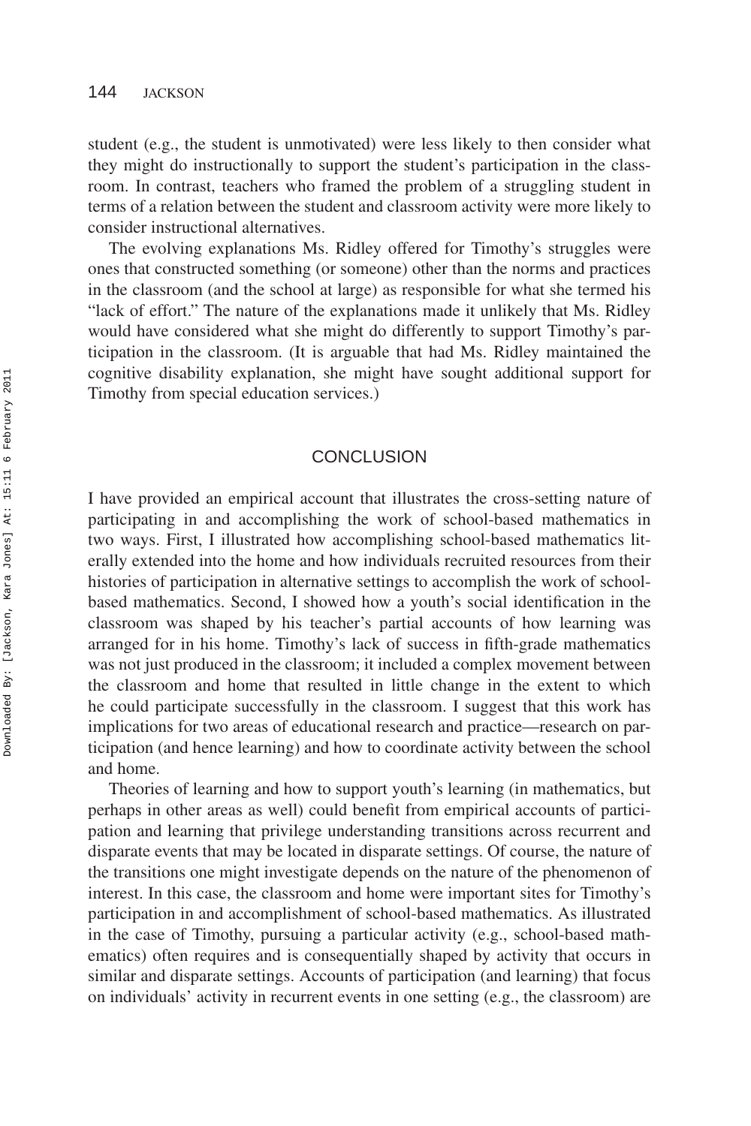student (e.g., the student is unmotivated) were less likely to then consider what they might do instructionally to support the student's participation in the classroom. In contrast, teachers who framed the problem of a struggling student in terms of a relation between the student and classroom activity were more likely to consider instructional alternatives.

The evolving explanations Ms. Ridley offered for Timothy's struggles were ones that constructed something (or someone) other than the norms and practices in the classroom (and the school at large) as responsible for what she termed his "lack of effort." The nature of the explanations made it unlikely that Ms. Ridley would have considered what she might do differently to support Timothy's participation in the classroom. (It is arguable that had Ms. Ridley maintained the cognitive disability explanation, she might have sought additional support for Timothy from special education services.)

#### **CONCLUSION**

I have provided an empirical account that illustrates the cross-setting nature of participating in and accomplishing the work of school-based mathematics in two ways. First, I illustrated how accomplishing school-based mathematics literally extended into the home and how individuals recruited resources from their histories of participation in alternative settings to accomplish the work of schoolbased mathematics. Second, I showed how a youth's social identification in the classroom was shaped by his teacher's partial accounts of how learning was arranged for in his home. Timothy's lack of success in fifth-grade mathematics was not just produced in the classroom; it included a complex movement between the classroom and home that resulted in little change in the extent to which he could participate successfully in the classroom. I suggest that this work has implications for two areas of educational research and practice—research on participation (and hence learning) and how to coordinate activity between the school and home.

Theories of learning and how to support youth's learning (in mathematics, but perhaps in other areas as well) could benefit from empirical accounts of participation and learning that privilege understanding transitions across recurrent and disparate events that may be located in disparate settings. Of course, the nature of the transitions one might investigate depends on the nature of the phenomenon of interest. In this case, the classroom and home were important sites for Timothy's participation in and accomplishment of school-based mathematics. As illustrated in the case of Timothy, pursuing a particular activity (e.g., school-based mathematics) often requires and is consequentially shaped by activity that occurs in similar and disparate settings. Accounts of participation (and learning) that focus on individuals' activity in recurrent events in one setting (e.g., the classroom) are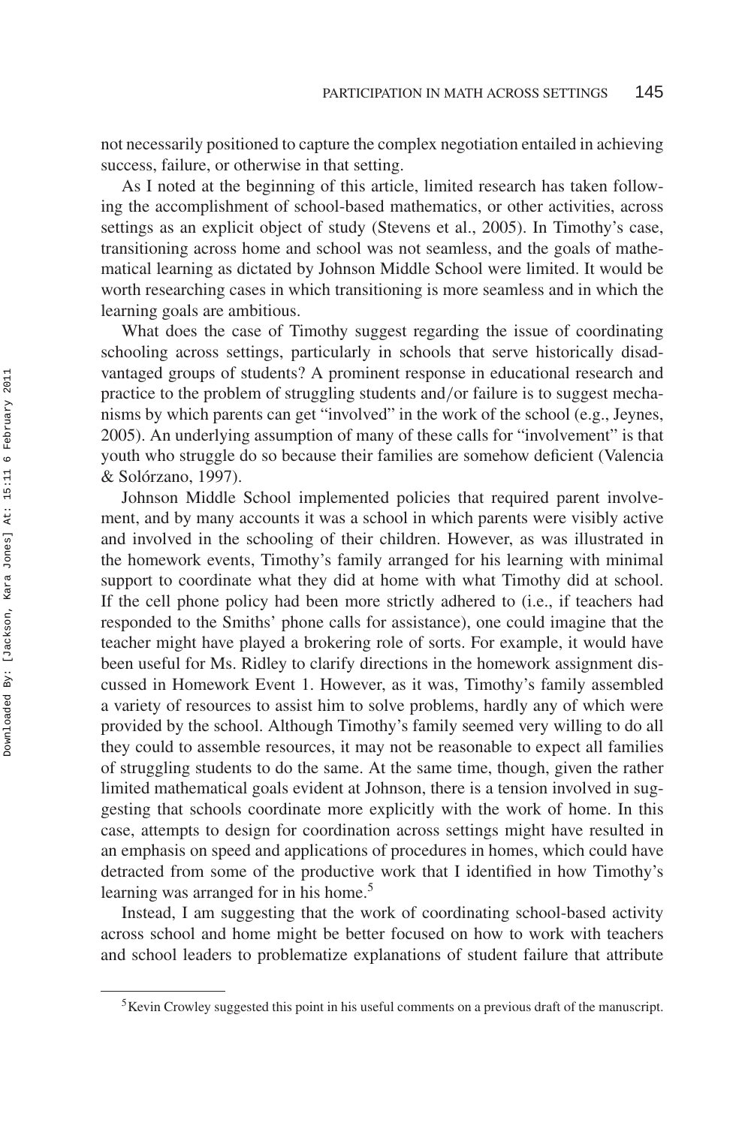not necessarily positioned to capture the complex negotiation entailed in achieving success, failure, or otherwise in that setting.

As I noted at the beginning of this article, limited research has taken following the accomplishment of school-based mathematics, or other activities, across settings as an explicit object of study (Stevens et al., 2005). In Timothy's case, transitioning across home and school was not seamless, and the goals of mathematical learning as dictated by Johnson Middle School were limited. It would be worth researching cases in which transitioning is more seamless and in which the learning goals are ambitious.

What does the case of Timothy suggest regarding the issue of coordinating schooling across settings, particularly in schools that serve historically disadvantaged groups of students? A prominent response in educational research and practice to the problem of struggling students and*/*or failure is to suggest mechanisms by which parents can get "involved" in the work of the school (e.g., Jeynes, 2005). An underlying assumption of many of these calls for "involvement" is that youth who struggle do so because their families are somehow deficient (Valencia & Solórzano, 1997).

Johnson Middle School implemented policies that required parent involvement, and by many accounts it was a school in which parents were visibly active and involved in the schooling of their children. However, as was illustrated in the homework events, Timothy's family arranged for his learning with minimal support to coordinate what they did at home with what Timothy did at school. If the cell phone policy had been more strictly adhered to (i.e., if teachers had responded to the Smiths' phone calls for assistance), one could imagine that the teacher might have played a brokering role of sorts. For example, it would have been useful for Ms. Ridley to clarify directions in the homework assignment discussed in Homework Event 1. However, as it was, Timothy's family assembled a variety of resources to assist him to solve problems, hardly any of which were provided by the school. Although Timothy's family seemed very willing to do all they could to assemble resources, it may not be reasonable to expect all families of struggling students to do the same. At the same time, though, given the rather limited mathematical goals evident at Johnson, there is a tension involved in suggesting that schools coordinate more explicitly with the work of home. In this case, attempts to design for coordination across settings might have resulted in an emphasis on speed and applications of procedures in homes, which could have detracted from some of the productive work that I identified in how Timothy's learning was arranged for in his home.<sup>5</sup>

Instead, I am suggesting that the work of coordinating school-based activity across school and home might be better focused on how to work with teachers and school leaders to problematize explanations of student failure that attribute

<sup>&</sup>lt;sup>5</sup>Kevin Crowley suggested this point in his useful comments on a previous draft of the manuscript.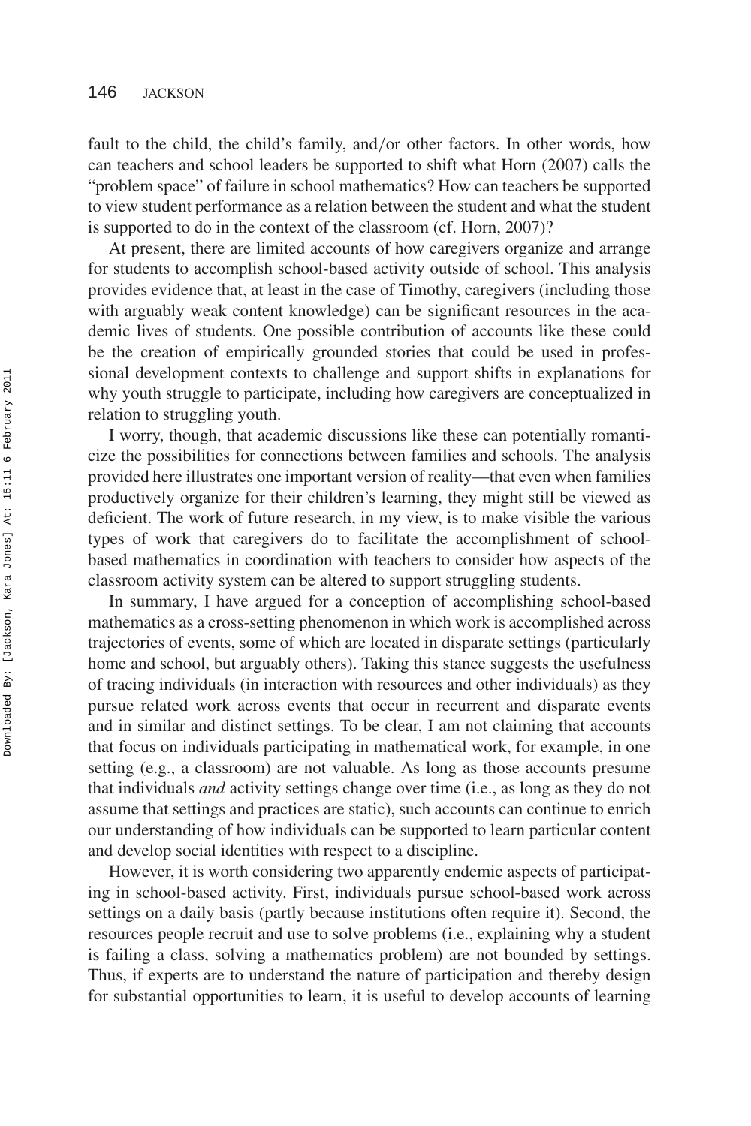fault to the child, the child's family, and*/*or other factors. In other words, how can teachers and school leaders be supported to shift what Horn (2007) calls the "problem space" of failure in school mathematics? How can teachers be supported to view student performance as a relation between the student and what the student is supported to do in the context of the classroom (cf. Horn, 2007)?

At present, there are limited accounts of how caregivers organize and arrange for students to accomplish school-based activity outside of school. This analysis provides evidence that, at least in the case of Timothy, caregivers (including those with arguably weak content knowledge) can be significant resources in the academic lives of students. One possible contribution of accounts like these could be the creation of empirically grounded stories that could be used in professional development contexts to challenge and support shifts in explanations for why youth struggle to participate, including how caregivers are conceptualized in relation to struggling youth.

I worry, though, that academic discussions like these can potentially romanticize the possibilities for connections between families and schools. The analysis provided here illustrates one important version of reality—that even when families productively organize for their children's learning, they might still be viewed as deficient. The work of future research, in my view, is to make visible the various types of work that caregivers do to facilitate the accomplishment of schoolbased mathematics in coordination with teachers to consider how aspects of the classroom activity system can be altered to support struggling students.

In summary, I have argued for a conception of accomplishing school-based mathematics as a cross-setting phenomenon in which work is accomplished across trajectories of events, some of which are located in disparate settings (particularly home and school, but arguably others). Taking this stance suggests the usefulness of tracing individuals (in interaction with resources and other individuals) as they pursue related work across events that occur in recurrent and disparate events and in similar and distinct settings. To be clear, I am not claiming that accounts that focus on individuals participating in mathematical work, for example, in one setting (e.g., a classroom) are not valuable. As long as those accounts presume that individuals *and* activity settings change over time (i.e., as long as they do not assume that settings and practices are static), such accounts can continue to enrich our understanding of how individuals can be supported to learn particular content and develop social identities with respect to a discipline.

However, it is worth considering two apparently endemic aspects of participating in school-based activity. First, individuals pursue school-based work across settings on a daily basis (partly because institutions often require it). Second, the resources people recruit and use to solve problems (i.e., explaining why a student is failing a class, solving a mathematics problem) are not bounded by settings. Thus, if experts are to understand the nature of participation and thereby design for substantial opportunities to learn, it is useful to develop accounts of learning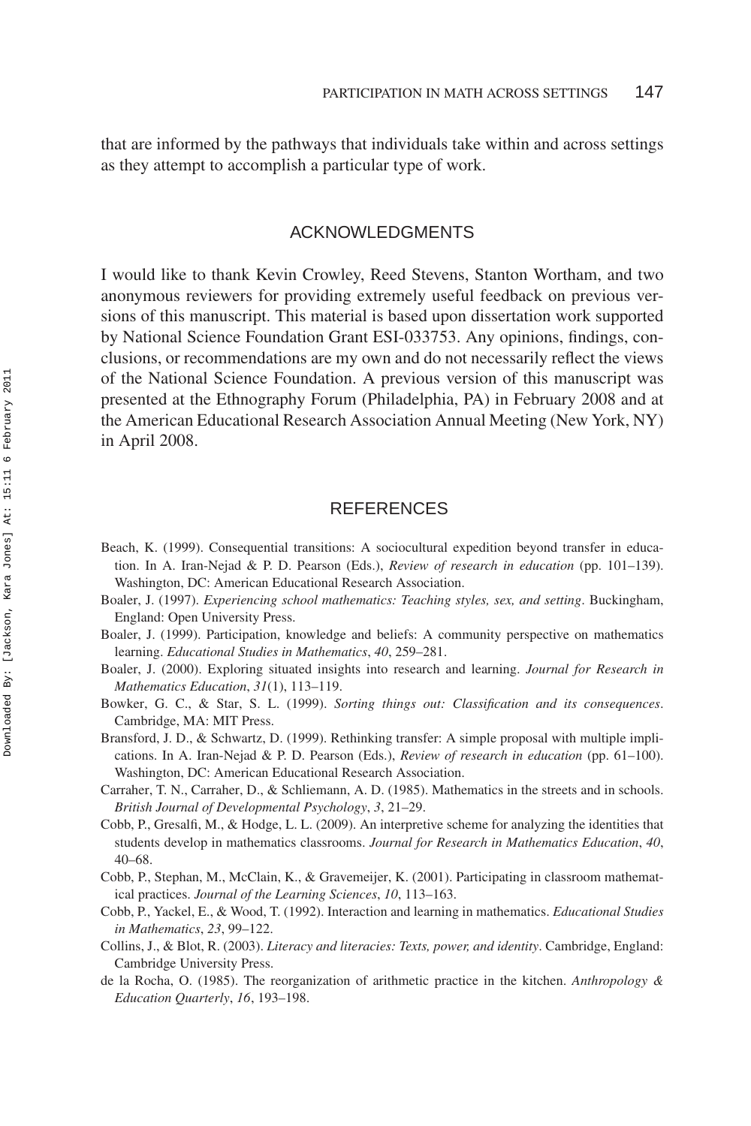that are informed by the pathways that individuals take within and across settings as they attempt to accomplish a particular type of work.

#### ACKNOWLEDGMENTS

I would like to thank Kevin Crowley, Reed Stevens, Stanton Wortham, and two anonymous reviewers for providing extremely useful feedback on previous versions of this manuscript. This material is based upon dissertation work supported by National Science Foundation Grant ESI-033753. Any opinions, findings, conclusions, or recommendations are my own and do not necessarily reflect the views of the National Science Foundation. A previous version of this manuscript was presented at the Ethnography Forum (Philadelphia, PA) in February 2008 and at the American Educational Research Association Annual Meeting (New York, NY) in April 2008.

#### REFERENCES

- Beach, K. (1999). Consequential transitions: A sociocultural expedition beyond transfer in education. In A. Iran-Nejad & P. D. Pearson (Eds.), *Review of research in education* (pp. 101–139). Washington, DC: American Educational Research Association.
- Boaler, J. (1997). *Experiencing school mathematics: Teaching styles, sex, and setting*. Buckingham, England: Open University Press.
- Boaler, J. (1999). Participation, knowledge and beliefs: A community perspective on mathematics learning. *Educational Studies in Mathematics*, *40*, 259–281.
- Boaler, J. (2000). Exploring situated insights into research and learning. *Journal for Research in Mathematics Education*, *31*(1), 113–119.
- Bowker, G. C., & Star, S. L. (1999). *Sorting things out: Classification and its consequences*. Cambridge, MA: MIT Press.
- Bransford, J. D., & Schwartz, D. (1999). Rethinking transfer: A simple proposal with multiple implications. In A. Iran-Nejad & P. D. Pearson (Eds.), *Review of research in education* (pp. 61–100). Washington, DC: American Educational Research Association.
- Carraher, T. N., Carraher, D., & Schliemann, A. D. (1985). Mathematics in the streets and in schools. *British Journal of Developmental Psychology*, *3*, 21–29.
- Cobb, P., Gresalfi, M., & Hodge, L. L. (2009). An interpretive scheme for analyzing the identities that students develop in mathematics classrooms. *Journal for Research in Mathematics Education*, *40*, 40–68.
- Cobb, P., Stephan, M., McClain, K., & Gravemeijer, K. (2001). Participating in classroom mathematical practices. *Journal of the Learning Sciences*, *10*, 113–163.
- Cobb, P., Yackel, E., & Wood, T. (1992). Interaction and learning in mathematics. *Educational Studies in Mathematics*, *23*, 99–122.
- Collins, J., & Blot, R. (2003). *Literacy and literacies: Texts, power, and identity*. Cambridge, England: Cambridge University Press.
- de la Rocha, O. (1985). The reorganization of arithmetic practice in the kitchen. *Anthropology & Education Quarterly*, *16*, 193–198.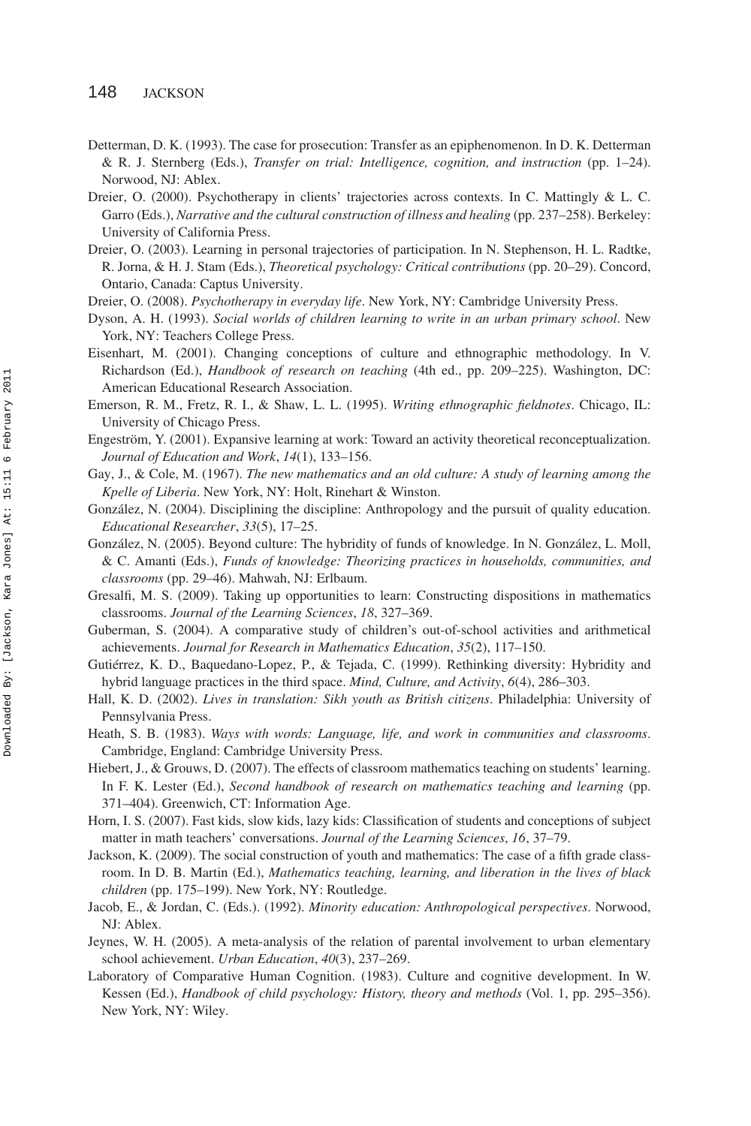- Detterman, D. K. (1993). The case for prosecution: Transfer as an epiphenomenon. In D. K. Detterman & R. J. Sternberg (Eds.), *Transfer on trial: Intelligence, cognition, and instruction* (pp. 1–24). Norwood, NJ: Ablex.
- Dreier, O. (2000). Psychotherapy in clients' trajectories across contexts. In C. Mattingly & L. C. Garro (Eds.), *Narrative and the cultural construction of illness and healing* (pp. 237–258). Berkeley: University of California Press.
- Dreier, O. (2003). Learning in personal trajectories of participation. In N. Stephenson, H. L. Radtke, R. Jorna, & H. J. Stam (Eds.), *Theoretical psychology: Critical contributions* (pp. 20–29). Concord, Ontario, Canada: Captus University.
- Dreier, O. (2008). *Psychotherapy in everyday life*. New York, NY: Cambridge University Press.
- Dyson, A. H. (1993). *Social worlds of children learning to write in an urban primary school*. New York, NY: Teachers College Press.
- Eisenhart, M. (2001). Changing conceptions of culture and ethnographic methodology. In V. Richardson (Ed.), *Handbook of research on teaching* (4th ed., pp. 209–225). Washington, DC: American Educational Research Association.
- Emerson, R. M., Fretz, R. I., & Shaw, L. L. (1995). *Writing ethnographic fieldnotes*. Chicago, IL: University of Chicago Press.
- Engeström, Y. (2001). Expansive learning at work: Toward an activity theoretical reconceptualization. *Journal of Education and Work*, *14*(1), 133–156.

Gay, J., & Cole, M. (1967). *The new mathematics and an old culture: A study of learning among the Kpelle of Liberia*. New York, NY: Holt, Rinehart & Winston.

- González, N. (2004). Disciplining the discipline: Anthropology and the pursuit of quality education. *Educational Researcher*, *33*(5), 17–25.
- González, N. (2005). Beyond culture: The hybridity of funds of knowledge. In N. González, L. Moll, & C. Amanti (Eds.), *Funds of knowledge: Theorizing practices in households, communities, and classrooms* (pp. 29–46). Mahwah, NJ: Erlbaum.
- Gresalfi, M. S. (2009). Taking up opportunities to learn: Constructing dispositions in mathematics classrooms. *Journal of the Learning Sciences*, *18*, 327–369.
- Guberman, S. (2004). A comparative study of children's out-of-school activities and arithmetical achievements. *Journal for Research in Mathematics Education*, *35*(2), 117–150.
- Gutiérrez, K. D., Baquedano-Lopez, P., & Tejada, C. (1999). Rethinking diversity: Hybridity and hybrid language practices in the third space. *Mind, Culture, and Activity*, *6*(4), 286–303.
- Hall, K. D. (2002). *Lives in translation: Sikh youth as British citizens*. Philadelphia: University of Pennsylvania Press.
- Heath, S. B. (1983). *Ways with words: Language, life, and work in communities and classrooms*. Cambridge, England: Cambridge University Press.
- Hiebert, J., & Grouws, D. (2007). The effects of classroom mathematics teaching on students' learning. In F. K. Lester (Ed.), *Second handbook of research on mathematics teaching and learning* (pp. 371–404). Greenwich, CT: Information Age.
- Horn, I. S. (2007). Fast kids, slow kids, lazy kids: Classification of students and conceptions of subject matter in math teachers' conversations. *Journal of the Learning Sciences*, *16*, 37–79.
- Jackson, K. (2009). The social construction of youth and mathematics: The case of a fifth grade classroom. In D. B. Martin (Ed.), *Mathematics teaching, learning, and liberation in the lives of black children* (pp. 175–199). New York, NY: Routledge.
- Jacob, E., & Jordan, C. (Eds.). (1992). *Minority education: Anthropological perspectives*. Norwood, NJ: Ablex.
- Jeynes, W. H. (2005). A meta-analysis of the relation of parental involvement to urban elementary school achievement. *Urban Education*, *40*(3), 237–269.
- Laboratory of Comparative Human Cognition. (1983). Culture and cognitive development. In W. Kessen (Ed.), *Handbook of child psychology: History, theory and methods* (Vol. 1, pp. 295–356). New York, NY: Wiley.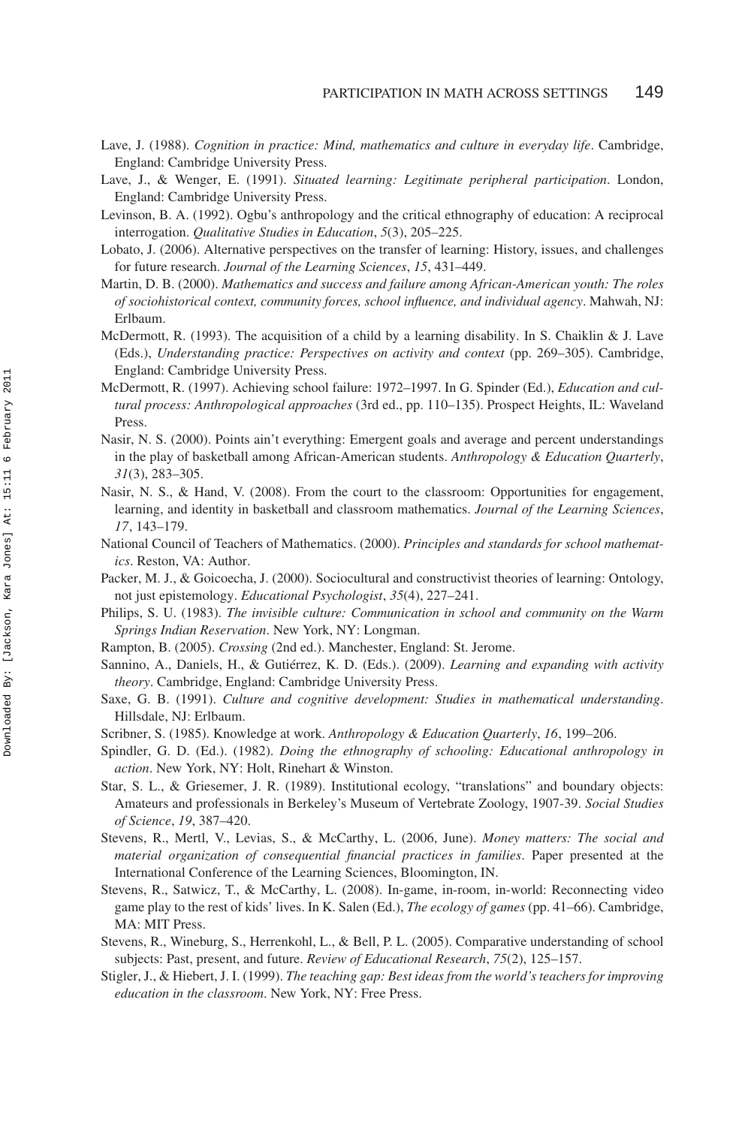- Lave, J. (1988). *Cognition in practice: Mind, mathematics and culture in everyday life*. Cambridge, England: Cambridge University Press.
- Lave, J., & Wenger, E. (1991). *Situated learning: Legitimate peripheral participation*. London, England: Cambridge University Press.
- Levinson, B. A. (1992). Ogbu's anthropology and the critical ethnography of education: A reciprocal interrogation. *Qualitative Studies in Education*, *5*(3), 205–225.
- Lobato, J. (2006). Alternative perspectives on the transfer of learning: History, issues, and challenges for future research. *Journal of the Learning Sciences*, *15*, 431–449.
- Martin, D. B. (2000). *Mathematics and success and failure among African-American youth: The roles of sociohistorical context, community forces, school influence, and individual agency*. Mahwah, NJ: Erlbaum.
- McDermott, R. (1993). The acquisition of a child by a learning disability. In S. Chaiklin & J. Lave (Eds.), *Understanding practice: Perspectives on activity and context* (pp. 269–305). Cambridge, England: Cambridge University Press.
- McDermott, R. (1997). Achieving school failure: 1972–1997. In G. Spinder (Ed.), *Education and cultural process: Anthropological approaches* (3rd ed., pp. 110–135). Prospect Heights, IL: Waveland Press.
- Nasir, N. S. (2000). Points ain't everything: Emergent goals and average and percent understandings in the play of basketball among African-American students. *Anthropology & Education Quarterly*, *31*(3), 283–305.
- Nasir, N. S., & Hand, V. (2008). From the court to the classroom: Opportunities for engagement, learning, and identity in basketball and classroom mathematics. *Journal of the Learning Sciences*, *17*, 143–179.
- National Council of Teachers of Mathematics. (2000). *Principles and standards for school mathematics*. Reston, VA: Author.
- Packer, M. J., & Goicoecha, J. (2000). Sociocultural and constructivist theories of learning: Ontology, not just epistemology. *Educational Psychologist*, *35*(4), 227–241.
- Philips, S. U. (1983). *The invisible culture: Communication in school and community on the Warm Springs Indian Reservation*. New York, NY: Longman.
- Rampton, B. (2005). *Crossing* (2nd ed.). Manchester, England: St. Jerome.
- Sannino, A., Daniels, H., & Gutiérrez, K. D. (Eds.). (2009). *Learning and expanding with activity theory*. Cambridge, England: Cambridge University Press.
- Saxe, G. B. (1991). *Culture and cognitive development: Studies in mathematical understanding*. Hillsdale, NJ: Erlbaum.
- Scribner, S. (1985). Knowledge at work. *Anthropology & Education Quarterly*, *16*, 199–206.
- Spindler, G. D. (Ed.). (1982). *Doing the ethnography of schooling: Educational anthropology in action*. New York, NY: Holt, Rinehart & Winston.
- Star, S. L., & Griesemer, J. R. (1989). Institutional ecology, "translations" and boundary objects: Amateurs and professionals in Berkeley's Museum of Vertebrate Zoology, 1907-39. *Social Studies of Science*, *19*, 387–420.
- Stevens, R., Mertl, V., Levias, S., & McCarthy, L. (2006, June). *Money matters: The social and material organization of consequential financial practices in families*. Paper presented at the International Conference of the Learning Sciences, Bloomington, IN.
- Stevens, R., Satwicz, T., & McCarthy, L. (2008). In-game, in-room, in-world: Reconnecting video game play to the rest of kids' lives. In K. Salen (Ed.), *The ecology of games* (pp. 41–66). Cambridge, MA: MIT Press.
- Stevens, R., Wineburg, S., Herrenkohl, L., & Bell, P. L. (2005). Comparative understanding of school subjects: Past, present, and future. *Review of Educational Research*, *75*(2), 125–157.
- Stigler, J., & Hiebert, J. I. (1999). *The teaching gap: Best ideas from the world's teachers for improving education in the classroom*. New York, NY: Free Press.